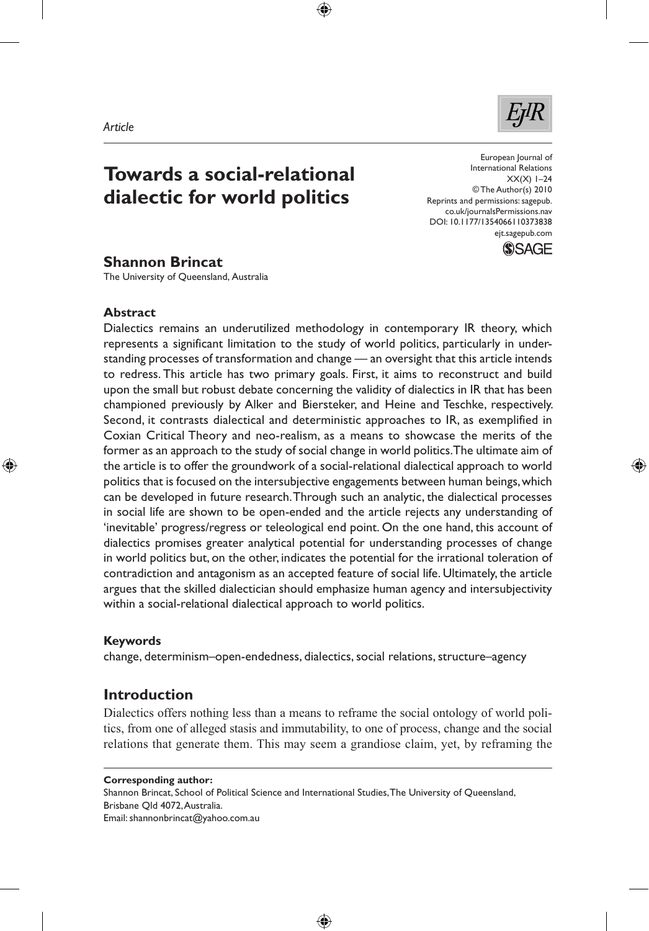#### *Article*

# **Towards a social-relational dialectic for world politics**

European Journal of International Relations  $XX(X)$  1–24 © The Author(s) 2010 Reprints and permissions: sagepub. co.uk/journalsPermissions.nav DOI: 10.1177/1354066110373838 ejt.sagepub.com



⊕

## **Shannon Brincat**

The University of Queensland, Australia

### **Abstract**

◈

Dialectics remains an underutilized methodology in contemporary IR theory, which represents a significant limitation to the study of world politics, particularly in understanding processes of transformation and change — an oversight that this article intends to redress. This article has two primary goals. First, it aims to reconstruct and build upon the small but robust debate concerning the validity of dialectics in IR that has been championed previously by Alker and Biersteker, and Heine and Teschke, respectively. Second, it contrasts dialectical and deterministic approaches to IR, as exemplified in Coxian Critical Theory and neo-realism, as a means to showcase the merits of the former as an approach to the study of social change in world politics. The ultimate aim of the article is to offer the groundwork of a social-relational dialectical approach to world politics that is focused on the intersubjective engagements between human beings, which can be developed in future research. Through such an analytic, the dialectical processes in social life are shown to be open-ended and the article rejects any understanding of 'inevitable' progress/regress or teleological end point. On the one hand, this account of dialectics promises greater analytical potential for understanding processes of change in world politics but, on the other, indicates the potential for the irrational toleration of contradiction and antagonism as an accepted feature of social life. Ultimately, the article argues that the skilled dialectician should emphasize human agency and intersubjectivity within a social-relational dialectical approach to world politics.

⊕

## **Keywords**

change, determinism–open-endedness, dialectics, social relations, structure–agency

## **Introduction**

Dialectics offers nothing less than a means to reframe the social ontology of world politics, from one of alleged stasis and immutability, to one of process, change and the social relations that generate them. This may seem a grandiose claim, yet, by reframing the

#### **Corresponding author:**

Shannon Brincat, School of Political Science and International Studies, The University of Queensland, Brisbane Qld 4072, Australia. Email: shannonbrincat@yahoo.com.au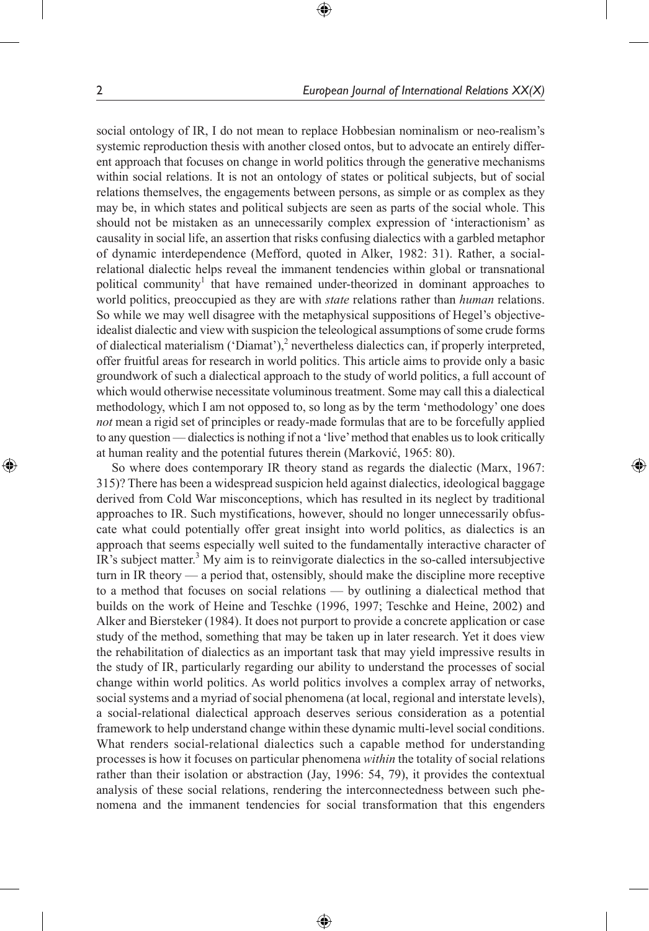social ontology of IR, I do not mean to replace Hobbesian nominalism or neo-realism's systemic reproduction thesis with another closed ontos, but to advocate an entirely different approach that focuses on change in world politics through the generative mechanisms within social relations. It is not an ontology of states or political subjects, but of social relations themselves, the engagements between persons, as simple or as complex as they may be, in which states and political subjects are seen as parts of the social whole. This should not be mistaken as an unnecessarily complex expression of 'interactionism' as causality in social life, an assertion that risks confusing dialectics with a garbled metaphor of dynamic interdependence (Mefford, quoted in Alker, 1982: 31). Rather, a socialrelational dialectic helps reveal the immanent tendencies within global or transnational political community<sup>1</sup> that have remained under-theorized in dominant approaches to world politics, preoccupied as they are with *state* relations rather than *human* relations. So while we may well disagree with the metaphysical suppositions of Hegel's objectiveidealist dialectic and view with suspicion the teleological assumptions of some crude forms of dialectical materialism ('Diamat'), $^2$  nevertheless dialectics can, if properly interpreted, offer fruitful areas for research in world politics. This article aims to provide only a basic groundwork of such a dialectical approach to the study of world politics, a full account of which would otherwise necessitate voluminous treatment. Some may call this a dialectical methodology, which I am not opposed to, so long as by the term 'methodology' one does *not* mean a rigid set of principles or ready-made formulas that are to be forcefully applied to any question — dialectics is nothing if not a 'live' method that enables us to look critically at human reality and the potential futures therein (Marković, 1965: 80).

⊕

So where does contemporary IR theory stand as regards the dialectic (Marx, 1967: 315)? There has been a widespread suspicion held against dialectics, ideological baggage derived from Cold War misconceptions, which has resulted in its neglect by traditional approaches to IR. Such mystifications, however, should no longer unnecessarily obfuscate what could potentially offer great insight into world politics, as dialectics is an approach that seems especially well suited to the fundamentally interactive character of IR's subject matter.<sup>3</sup> My aim is to reinvigorate dialectics in the so-called intersubjective turn in IR theory — a period that, ostensibly, should make the discipline more receptive to a method that focuses on social relations — by outlining a dialectical method that builds on the work of Heine and Teschke (1996, 1997; Teschke and Heine, 2002) and Alker and Biersteker (1984). It does not purport to provide a concrete application or case study of the method, something that may be taken up in later research. Yet it does view the rehabilitation of dialectics as an important task that may yield impressive results in the study of IR, particularly regarding our ability to understand the processes of social change within world politics. As world politics involves a complex array of networks, social systems and a myriad of social phenomena (at local, regional and interstate levels), a social-relational dialectical approach deserves serious consideration as a potential framework to help understand change within these dynamic multi-level social conditions. What renders social-relational dialectics such a capable method for understanding processes is how it focuses on particular phenomena *within* the totality of social relations rather than their isolation or abstraction (Jay, 1996: 54, 79), it provides the contextual analysis of these social relations, rendering the interconnectedness between such phenomena and the immanent tendencies for social transformation that this engenders

⊕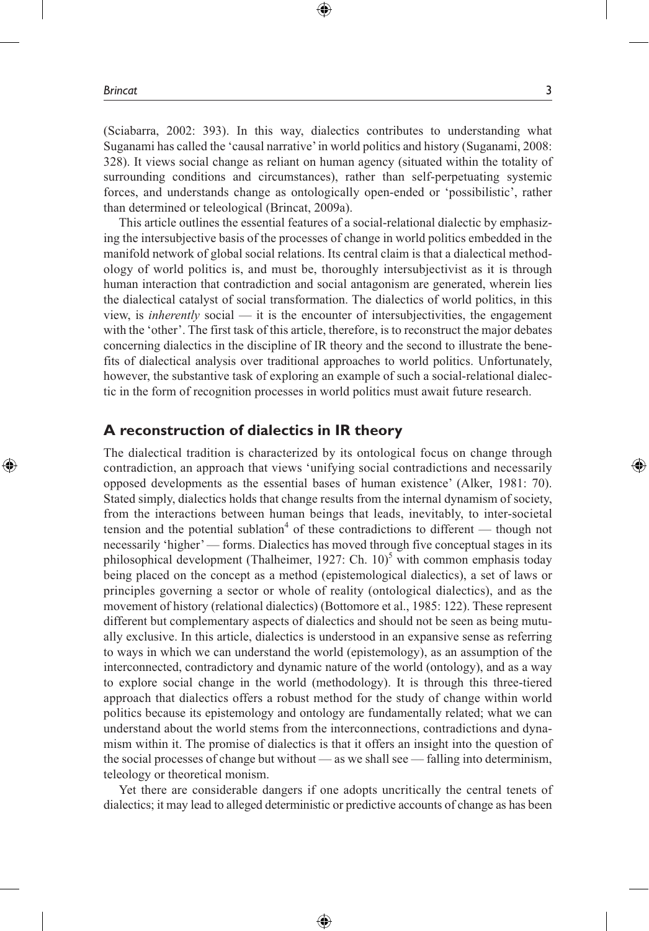(Sciabarra, 2002: 393). In this way, dialectics contributes to understanding what Suganami has called the 'causal narrative' in world politics and history (Suganami, 2008: 328). It views social change as reliant on human agency (situated within the totality of surrounding conditions and circumstances), rather than self-perpetuating systemic forces, and understands change as ontologically open-ended or 'possibilistic', rather than determined or teleological (Brincat, 2009a).

⊕

This article outlines the essential features of a social-relational dialectic by emphasizing the intersubjective basis of the processes of change in world politics embedded in the manifold network of global social relations. Its central claim is that a dialectical methodology of world politics is, and must be, thoroughly intersubjectivist as it is through human interaction that contradiction and social antagonism are generated, wherein lies the dialectical catalyst of social transformation. The dialectics of world politics, in this view, is *inherently* social — it is the encounter of intersubjectivities, the engagement with the 'other'. The first task of this article, therefore, is to reconstruct the major debates concerning dialectics in the discipline of IR theory and the second to illustrate the benefits of dialectical analysis over traditional approaches to world politics. Unfortunately, however, the substantive task of exploring an example of such a social-relational dialectic in the form of recognition processes in world politics must await future research.

## **A reconstruction of dialectics in IR theory**

The dialectical tradition is characterized by its ontological focus on change through contradiction, an approach that views 'unifying social contradictions and necessarily opposed developments as the essential bases of human existence' (Alker, 1981: 70). Stated simply, dialectics holds that change results from the internal dynamism of society, from the interactions between human beings that leads, inevitably, to inter-societal tension and the potential sublation<sup>4</sup> of these contradictions to different  $-$  though not necessarily 'higher' — forms. Dialectics has moved through five conceptual stages in its philosophical development (Thalheimer, 1927: Ch.  $10)^5$  with common emphasis today being placed on the concept as a method (epistemological dialectics), a set of laws or principles governing a sector or whole of reality (ontological dialectics), and as the movement of history (relational dialectics) (Bottomore et al., 1985: 122). These represent different but complementary aspects of dialectics and should not be seen as being mutually exclusive. In this article, dialectics is understood in an expansive sense as referring to ways in which we can understand the world (epistemology), as an assumption of the interconnected, contradictory and dynamic nature of the world (ontology), and as a way to explore social change in the world (methodology). It is through this three-tiered approach that dialectics offers a robust method for the study of change within world politics because its epistemology and ontology are fundamentally related; what we can understand about the world stems from the interconnections, contradictions and dynamism within it. The promise of dialectics is that it offers an insight into the question of the social processes of change but without — as we shall see — falling into determinism, teleology or theoretical monism.

Yet there are considerable dangers if one adopts uncritically the central tenets of dialectics; it may lead to alleged deterministic or predictive accounts of change as has been

⊕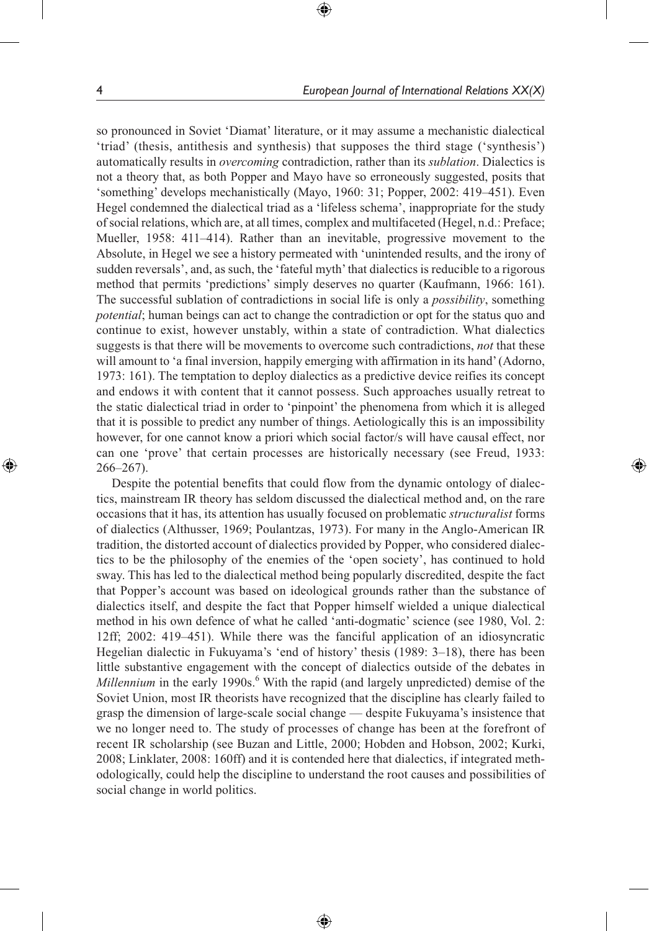so pronounced in Soviet 'Diamat' literature, or it may assume a mechanistic dialectical 'triad' (thesis, antithesis and synthesis) that supposes the third stage ('synthesis') automatically results in *overcoming* contradiction, rather than its *sublation*. Dialectics is not a theory that, as both Popper and Mayo have so erroneously suggested, posits that 'something' develops mechanistically (Mayo, 1960: 31; Popper, 2002: 419–451). Even Hegel condemned the dialectical triad as a 'lifeless schema', inappropriate for the study of social relations, which are, at all times, complex and multifaceted (Hegel, n.d.: Preface; Mueller, 1958: 411–414). Rather than an inevitable, progressive movement to the Absolute, in Hegel we see a history permeated with 'unintended results, and the irony of sudden reversals', and, as such, the 'fateful myth' that dialectics is reducible to a rigorous method that permits 'predictions' simply deserves no quarter (Kaufmann, 1966: 161). The successful sublation of contradictions in social life is only a *possibility*, something *potential*; human beings can act to change the contradiction or opt for the status quo and continue to exist, however unstably, within a state of contradiction. What dialectics suggests is that there will be movements to overcome such contradictions, *not* that these will amount to 'a final inversion, happily emerging with affirmation in its hand' (Adorno, 1973: 161). The temptation to deploy dialectics as a predictive device reifies its concept and endows it with content that it cannot possess. Such approaches usually retreat to the static dialectical triad in order to 'pinpoint' the phenomena from which it is alleged that it is possible to predict any number of things. Aetiologically this is an impossibility however, for one cannot know a priori which social factor/s will have causal effect, nor can one 'prove' that certain processes are historically necessary (see Freud, 1933: 266–267).

⊕

Despite the potential benefits that could flow from the dynamic ontology of dialectics, mainstream IR theory has seldom discussed the dialectical method and, on the rare occasions that it has, its attention has usually focused on problematic *structuralist* forms of dialectics (Althusser, 1969; Poulantzas, 1973). For many in the Anglo-American IR tradition, the distorted account of dialectics provided by Popper, who considered dialectics to be the philosophy of the enemies of the 'open society', has continued to hold sway. This has led to the dialectical method being popularly discredited, despite the fact that Popper's account was based on ideological grounds rather than the substance of dialectics itself, and despite the fact that Popper himself wielded a unique dialectical method in his own defence of what he called 'anti-dogmatic' science (see 1980, Vol. 2: 12ff; 2002: 419–451). While there was the fanciful application of an idiosyncratic Hegelian dialectic in Fukuyama's 'end of history' thesis (1989: 3–18), there has been little substantive engagement with the concept of dialectics outside of the debates in Millennium in the early 1990s.<sup>6</sup> With the rapid (and largely unpredicted) demise of the Soviet Union, most IR theorists have recognized that the discipline has clearly failed to grasp the dimension of large-scale social change — despite Fukuyama's insistence that we no longer need to. The study of processes of change has been at the forefront of recent IR scholarship (see Buzan and Little, 2000; Hobden and Hobson, 2002; Kurki, 2008; Linklater, 2008: 160ff) and it is contended here that dialectics, if integrated methodologically, could help the discipline to understand the root causes and possibilities of social change in world politics.

⊕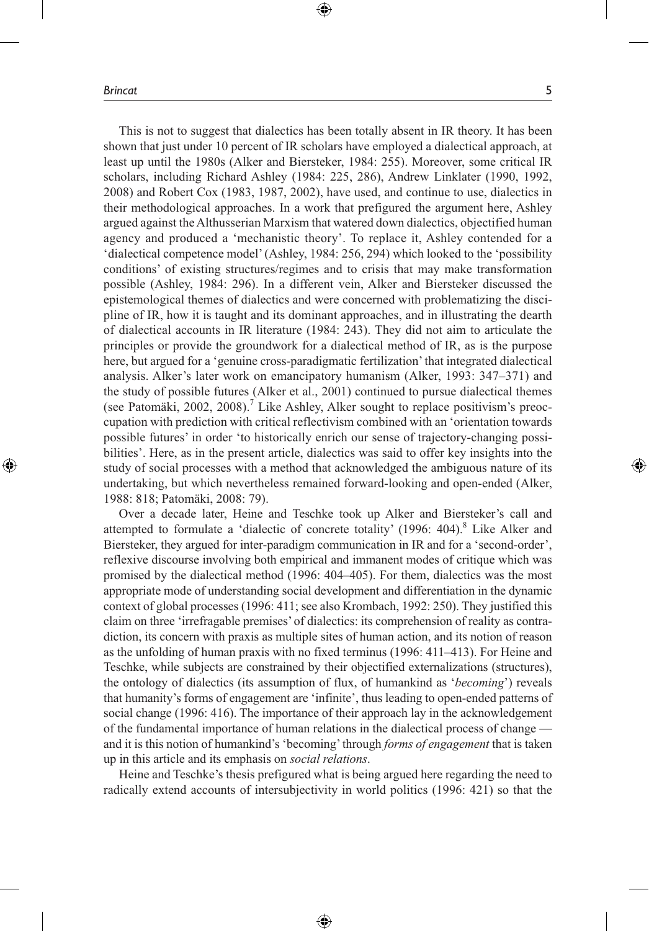⊕

⊕

This is not to suggest that dialectics has been totally absent in IR theory. It has been shown that just under 10 percent of IR scholars have employed a dialectical approach, at least up until the 1980s (Alker and Biersteker, 1984: 255). Moreover, some critical IR scholars, including Richard Ashley (1984: 225, 286), Andrew Linklater (1990, 1992, 2008) and Robert Cox (1983, 1987, 2002), have used, and continue to use, dialectics in their methodological approaches. In a work that prefigured the argument here, Ashley argued against the Althusserian Marxism that watered down dialectics, objectified human agency and produced a 'mechanistic theory'. To replace it, Ashley contended for a 'dialectical competence model' (Ashley, 1984: 256, 294) which looked to the 'possibility conditions' of existing structures/regimes and to crisis that may make transformation possible (Ashley, 1984: 296). In a different vein, Alker and Biersteker discussed the epistemological themes of dialectics and were concerned with problematizing the discipline of IR, how it is taught and its dominant approaches, and in illustrating the dearth of dialectical accounts in IR literature (1984: 243). They did not aim to articulate the principles or provide the groundwork for a dialectical method of IR, as is the purpose here, but argued for a 'genuine cross-paradigmatic fertilization' that integrated dialectical analysis. Alker's later work on emancipatory humanism (Alker, 1993: 347–371) and the study of possible futures (Alker et al., 2001) continued to pursue dialectical themes (see Patomäki, 2002, 2008).<sup>7</sup> Like Ashley, Alker sought to replace positivism's preoccupation with prediction with critical reflectivism combined with an 'orientation towards possible futures' in order 'to historically enrich our sense of trajectory-changing possibilities'. Here, as in the present article, dialectics was said to offer key insights into the study of social processes with a method that acknowledged the ambiguous nature of its undertaking, but which nevertheless remained forward-looking and open-ended (Alker, 1988: 818; Patomäki, 2008: 79).

⊕

Over a decade later, Heine and Teschke took up Alker and Biersteker's call and attempted to formulate a 'dialectic of concrete totality'  $(1996: 404)$ .<sup>8</sup> Like Alker and Biersteker, they argued for inter-paradigm communication in IR and for a 'second-order', reflexive discourse involving both empirical and immanent modes of critique which was promised by the dialectical method (1996: 404–405). For them, dialectics was the most appropriate mode of understanding social development and differentiation in the dynamic context of global processes (1996: 411; see also Krombach, 1992: 250). They justified this claim on three 'irrefragable premises' of dialectics: its comprehension of reality as contradiction, its concern with praxis as multiple sites of human action, and its notion of reason as the unfolding of human praxis with no fixed terminus (1996: 411–413). For Heine and Teschke, while subjects are constrained by their objectified externalizations (structures), the ontology of dialectics (its assumption of flux, of humankind as '*becoming*') reveals that humanity's forms of engagement are 'infinite', thus leading to open-ended patterns of social change (1996: 416). The importance of their approach lay in the acknowledgement of the fundamental importance of human relations in the dialectical process of change and it is this notion of humankind's 'becoming' through *forms of engagement* that is taken up in this article and its emphasis on *social relations*.

Heine and Teschke's thesis prefigured what is being argued here regarding the need to radically extend accounts of intersubjectivity in world politics (1996: 421) so that the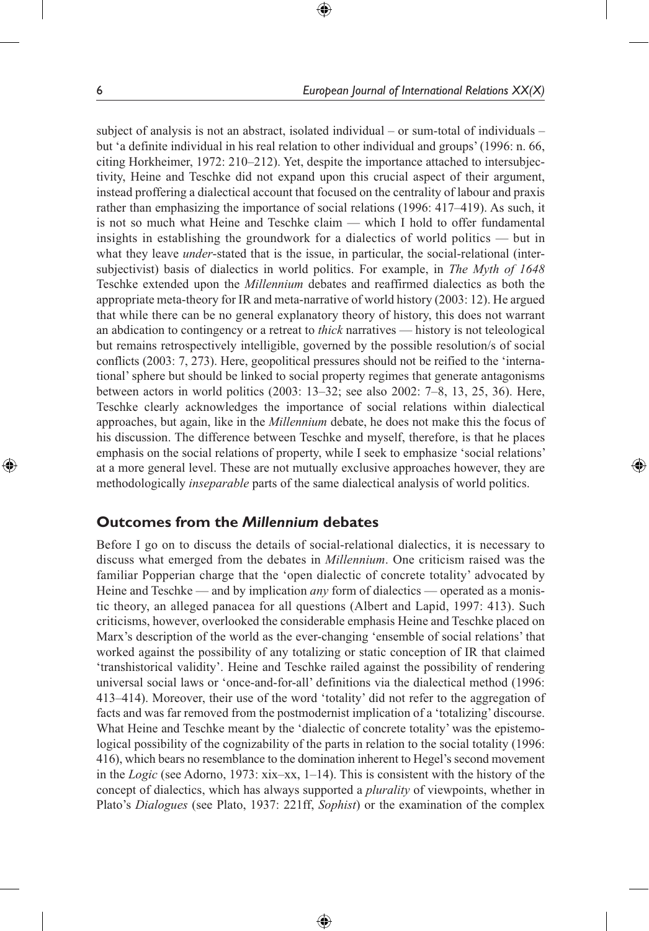subject of analysis is not an abstract, isolated individual – or sum-total of individuals – but 'a definite individual in his real relation to other individual and groups' (1996: n. 66, citing Horkheimer, 1972: 210–212). Yet, despite the importance attached to intersubjectivity, Heine and Teschke did not expand upon this crucial aspect of their argument, instead proffering a dialectical account that focused on the centrality of labour and praxis rather than emphasizing the importance of social relations (1996: 417–419). As such, it is not so much what Heine and Teschke claim — which I hold to offer fundamental insights in establishing the groundwork for a dialectics of world politics — but in what they leave *under*-stated that is the issue, in particular, the social-relational (intersubjectivist) basis of dialectics in world politics. For example, in *The Myth of 1648* Teschke extended upon the *Millennium* debates and reaffirmed dialectics as both the appropriate meta-theory for IR and meta-narrative of world history (2003: 12). He argued that while there can be no general explanatory theory of history, this does not warrant an abdication to contingency or a retreat to *thick* narratives — history is not teleological but remains retrospectively intelligible, governed by the possible resolution/s of social conflicts (2003: 7, 273). Here, geopolitical pressures should not be reified to the 'international' sphere but should be linked to social property regimes that generate antagonisms between actors in world politics (2003: 13–32; see also 2002: 7–8, 13, 25, 36). Here, Teschke clearly acknowledges the importance of social relations within dialectical approaches, but again, like in the *Millennium* debate, he does not make this the focus of his discussion. The difference between Teschke and myself, therefore, is that he places emphasis on the social relations of property, while I seek to emphasize 'social relations' at a more general level. These are not mutually exclusive approaches however, they are methodologically *inseparable* parts of the same dialectical analysis of world politics.

⊕

## **Outcomes from the** *Millennium* **debates**

Before I go on to discuss the details of social-relational dialectics, it is necessary to discuss what emerged from the debates in *Millennium*. One criticism raised was the familiar Popperian charge that the 'open dialectic of concrete totality' advocated by Heine and Teschke — and by implication *any* form of dialectics — operated as a monistic theory, an alleged panacea for all questions (Albert and Lapid, 1997: 413). Such criticisms, however, overlooked the considerable emphasis Heine and Teschke placed on Marx's description of the world as the ever-changing 'ensemble of social relations' that worked against the possibility of any totalizing or static conception of IR that claimed 'transhistorical validity'. Heine and Teschke railed against the possibility of rendering universal social laws or 'once-and-for-all' definitions via the dialectical method (1996: 413–414). Moreover, their use of the word 'totality' did not refer to the aggregation of facts and was far removed from the postmodernist implication of a 'totalizing' discourse. What Heine and Teschke meant by the 'dialectic of concrete totality' was the epistemological possibility of the cognizability of the parts in relation to the social totality (1996: 416), which bears no resemblance to the domination inherent to Hegel's second movement in the *Logic* (see Adorno, 1973: xix–xx, 1–14). This is consistent with the history of the concept of dialectics, which has always supported a *plurality* of viewpoints, whether in Plato's *Dialogues* (see Plato, 1937: 221ff, *Sophist*) or the examination of the complex

⊕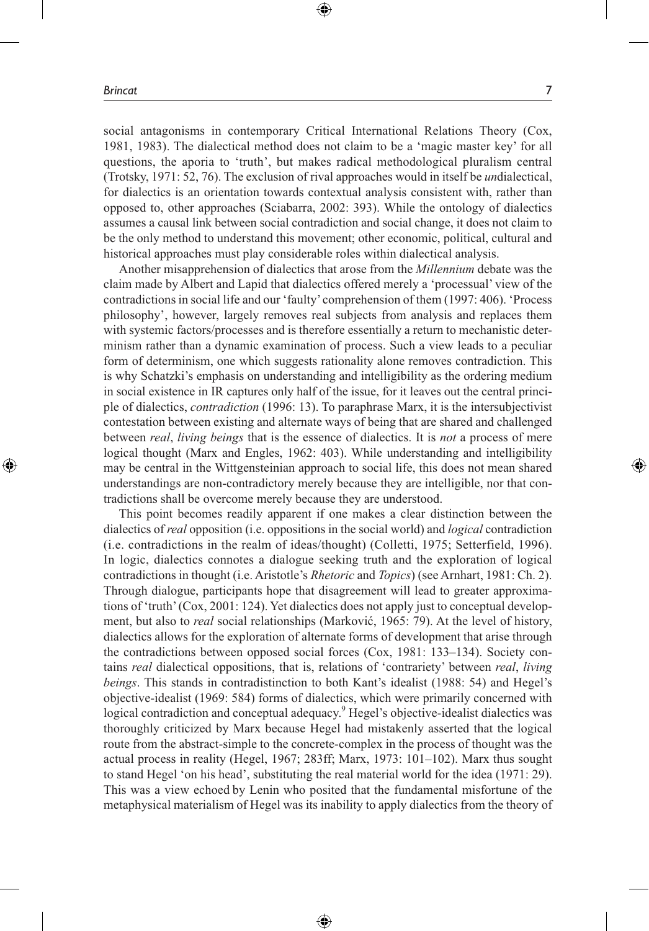⊕

social antagonisms in contemporary Critical International Relations Theory (Cox, 1981, 1983). The dialectical method does not claim to be a 'magic master key' for all questions, the aporia to 'truth', but makes radical methodological pluralism central (Trotsky, 1971: 52, 76). The exclusion of rival approaches would in itself be *un*dialectical, for dialectics is an orientation towards contextual analysis consistent with, rather than opposed to, other approaches (Sciabarra, 2002: 393). While the ontology of dialectics assumes a causal link between social contradiction and social change, it does not claim to be the only method to understand this movement; other economic, political, cultural and historical approaches must play considerable roles within dialectical analysis.

⊕

Another misapprehension of dialectics that arose from the *Millennium* debate was the claim made by Albert and Lapid that dialectics offered merely a 'processual' view of the contradictions in social life and our 'faulty' comprehension of them (1997: 406). 'Process philosophy', however, largely removes real subjects from analysis and replaces them with systemic factors/processes and is therefore essentially a return to mechanistic determinism rather than a dynamic examination of process. Such a view leads to a peculiar form of determinism, one which suggests rationality alone removes contradiction. This is why Schatzki's emphasis on understanding and intelligibility as the ordering medium in social existence in IR captures only half of the issue, for it leaves out the central principle of dialectics, *contradiction* (1996: 13). To paraphrase Marx, it is the intersubjectivist contestation between existing and alternate ways of being that are shared and challenged between *real*, *living beings* that is the essence of dialectics. It is *not* a process of mere logical thought (Marx and Engles, 1962: 403). While understanding and intelligibility may be central in the Wittgensteinian approach to social life, this does not mean shared understandings are non-contradictory merely because they are intelligible, nor that contradictions shall be overcome merely because they are understood.

This point becomes readily apparent if one makes a clear distinction between the dialectics of *real* opposition (i.e. oppositions in the social world) and *logical* contradiction (i.e. contradictions in the realm of ideas/thought) (Colletti, 1975; Setterfield, 1996). In logic, dialectics connotes a dialogue seeking truth and the exploration of logical contradictions in thought (i.e. Aristotle's *Rhetoric* and *Topics*) (see Arnhart, 1981: Ch. 2). Through dialogue, participants hope that disagreement will lead to greater approximations of 'truth' (Cox, 2001: 124). Yet dialectics does not apply just to conceptual development, but also to *real* social relationships (Marković, 1965: 79). At the level of history, dialectics allows for the exploration of alternate forms of development that arise through the contradictions between opposed social forces (Cox, 1981: 133–134). Society contains *real* dialectical oppositions, that is, relations of 'contrariety' between *real*, *living beings*. This stands in contradistinction to both Kant's idealist (1988: 54) and Hegel's objective-idealist (1969: 584) forms of dialectics, which were primarily concerned with logical contradiction and conceptual adequacy.<sup>9</sup> Hegel's objective-idealist dialectics was thoroughly criticized by Marx because Hegel had mistakenly asserted that the logical route from the abstract-simple to the concrete-complex in the process of thought was the actual process in reality (Hegel, 1967; 283ff; Marx, 1973: 101–102). Marx thus sought to stand Hegel 'on his head', substituting the real material world for the idea (1971: 29). This was a view echoed by Lenin who posited that the fundamental misfortune of the metaphysical materialism of Hegel was its inability to apply dialectics from the theory of

⊕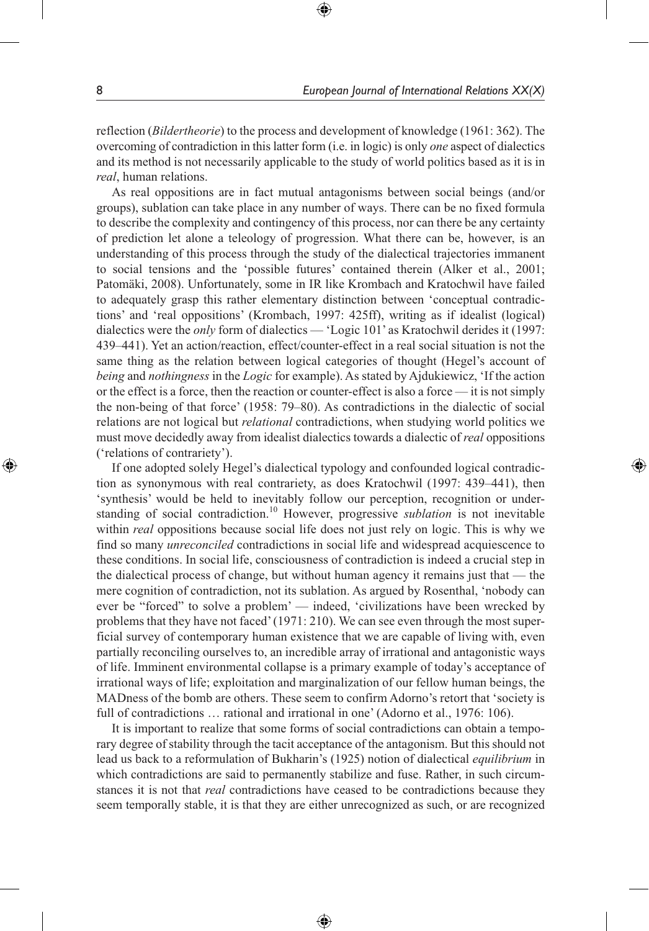reflection (*Bildertheorie*) to the process and development of knowledge (1961: 362). The overcoming of contradiction in this latter form (i.e. in logic) is only *one* aspect of dialectics and its method is not necessarily applicable to the study of world politics based as it is in *real*, human relations.

⊕

As real oppositions are in fact mutual antagonisms between social beings (and/or groups), sublation can take place in any number of ways. There can be no fixed formula to describe the complexity and contingency of this process, nor can there be any certainty of prediction let alone a teleology of progression. What there can be, however, is an understanding of this process through the study of the dialectical trajectories immanent to social tensions and the 'possible futures' contained therein (Alker et al., 2001; Patomäki, 2008). Unfortunately, some in IR like Krombach and Kratochwil have failed to adequately grasp this rather elementary distinction between 'conceptual contradictions' and 'real oppositions' (Krombach, 1997: 425ff), writing as if idealist (logical) dialectics were the *only* form of dialectics — 'Logic 101' as Kratochwil derides it (1997: 439–441). Yet an action/reaction, effect/counter-effect in a real social situation is not the same thing as the relation between logical categories of thought (Hegel's account of *being* and *nothingness* in the *Logic* for example). As stated by Ajdukiewicz, 'If the action or the effect is a force, then the reaction or counter-effect is also a force — it is not simply the non-being of that force' (1958: 79–80). As contradictions in the dialectic of social relations are not logical but *relational* contradictions, when studying world politics we must move decidedly away from idealist dialectics towards a dialectic of *real* oppositions ('relations of contrariety').

If one adopted solely Hegel's dialectical typology and confounded logical contradiction as synonymous with real contrariety, as does Kratochwil (1997: 439–441), then 'synthesis' would be held to inevitably follow our perception, recognition or understanding of social contradiction.<sup>10</sup> However, progressive *sublation* is not inevitable within *real* oppositions because social life does not just rely on logic. This is why we find so many *unreconciled* contradictions in social life and widespread acquiescence to these conditions. In social life, consciousness of contradiction is indeed a crucial step in the dialectical process of change, but without human agency it remains just that — the mere cognition of contradiction, not its sublation. As argued by Rosenthal, 'nobody can ever be "forced" to solve a problem' — indeed, 'civilizations have been wrecked by problems that they have not faced' (1971: 210). We can see even through the most superficial survey of contemporary human existence that we are capable of living with, even partially reconciling ourselves to, an incredible array of irrational and antagonistic ways of life. Imminent environmental collapse is a primary example of today's acceptance of irrational ways of life; exploitation and marginalization of our fellow human beings, the MADness of the bomb are others. These seem to confirm Adorno's retort that 'society is full of contradictions … rational and irrational in one' (Adorno et al., 1976: 106).

It is important to realize that some forms of social contradictions can obtain a temporary degree of stability through the tacit acceptance of the antagonism. But this should not lead us back to a reformulation of Bukharin's (1925) notion of dialectical *equilibrium* in which contradictions are said to permanently stabilize and fuse. Rather, in such circumstances it is not that *real* contradictions have ceased to be contradictions because they seem temporally stable, it is that they are either unrecognized as such, or are recognized

⊕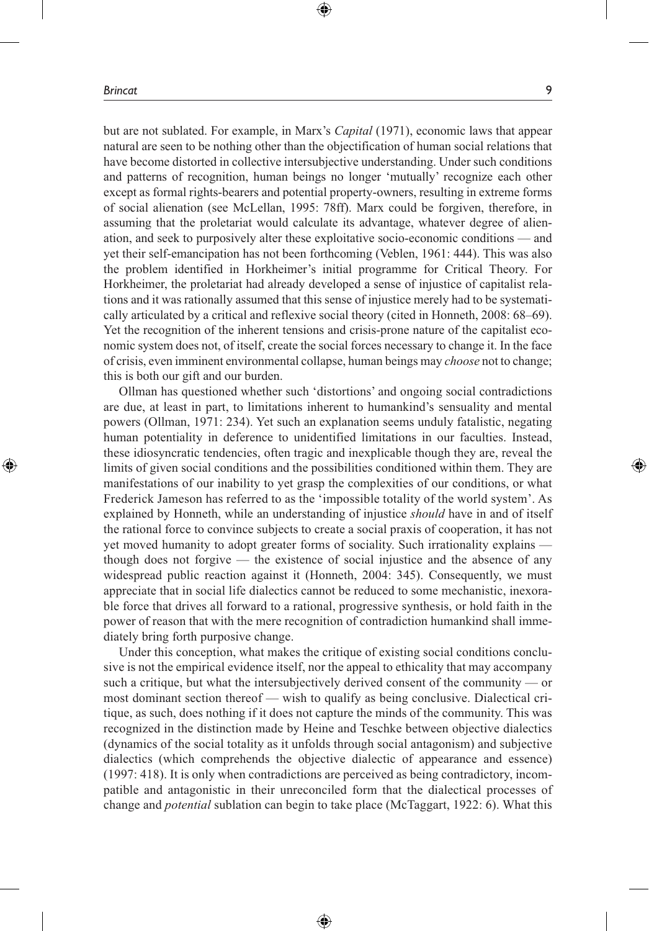⊕

but are not sublated. For example, in Marx's *Capital* (1971), economic laws that appear natural are seen to be nothing other than the objectification of human social relations that have become distorted in collective intersubjective understanding. Under such conditions and patterns of recognition, human beings no longer 'mutually' recognize each other except as formal rights-bearers and potential property-owners, resulting in extreme forms of social alienation (see McLellan, 1995: 78ff). Marx could be forgiven, therefore, in assuming that the proletariat would calculate its advantage, whatever degree of alienation, and seek to purposively alter these exploitative socio-economic conditions — and yet their self-emancipation has not been forthcoming (Veblen, 1961: 444). This was also the problem identified in Horkheimer's initial programme for Critical Theory. For Horkheimer, the proletariat had already developed a sense of injustice of capitalist relations and it was rationally assumed that this sense of injustice merely had to be systematically articulated by a critical and reflexive social theory (cited in Honneth, 2008: 68–69). Yet the recognition of the inherent tensions and crisis-prone nature of the capitalist economic system does not, of itself, create the social forces necessary to change it. In the face of crisis, even imminent environmental collapse, human beings may *choose* not to change; this is both our gift and our burden.

⊕

Ollman has questioned whether such 'distortions' and ongoing social contradictions are due, at least in part, to limitations inherent to humankind's sensuality and mental powers (Ollman, 1971: 234). Yet such an explanation seems unduly fatalistic, negating human potentiality in deference to unidentified limitations in our faculties. Instead, these idiosyncratic tendencies, often tragic and inexplicable though they are, reveal the limits of given social conditions and the possibilities conditioned within them. They are manifestations of our inability to yet grasp the complexities of our conditions, or what Frederick Jameson has referred to as the 'impossible totality of the world system'. As explained by Honneth, while an understanding of injustice *should* have in and of itself the rational force to convince subjects to create a social praxis of cooperation, it has not yet moved humanity to adopt greater forms of sociality. Such irrationality explains though does not forgive — the existence of social injustice and the absence of any widespread public reaction against it (Honneth, 2004: 345). Consequently, we must appreciate that in social life dialectics cannot be reduced to some mechanistic, inexorable force that drives all forward to a rational, progressive synthesis, or hold faith in the power of reason that with the mere recognition of contradiction humankind shall immediately bring forth purposive change.

Under this conception, what makes the critique of existing social conditions conclusive is not the empirical evidence itself, nor the appeal to ethicality that may accompany such a critique, but what the intersubjectively derived consent of the community — or most dominant section thereof — wish to qualify as being conclusive. Dialectical critique, as such, does nothing if it does not capture the minds of the community. This was recognized in the distinction made by Heine and Teschke between objective dialectics (dynamics of the social totality as it unfolds through social antagonism) and subjective dialectics (which comprehends the objective dialectic of appearance and essence) (1997: 418). It is only when contradictions are perceived as being contradictory, incompatible and antagonistic in their unreconciled form that the dialectical processes of change and *potential* sublation can begin to take place (McTaggart, 1922: 6). What this

♠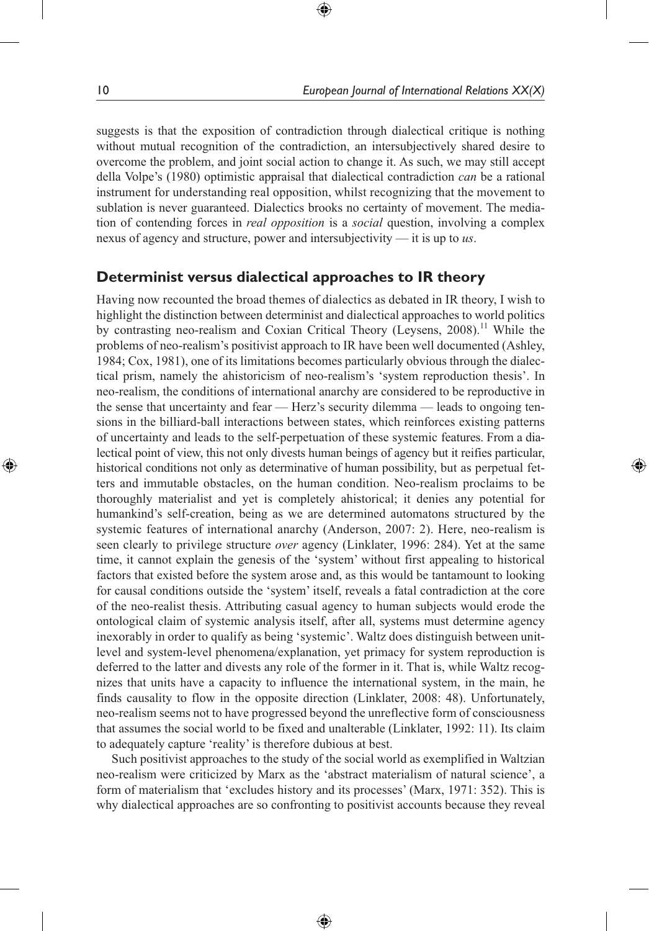suggests is that the exposition of contradiction through dialectical critique is nothing without mutual recognition of the contradiction, an intersubjectively shared desire to overcome the problem, and joint social action to change it. As such, we may still accept della Volpe's (1980) optimistic appraisal that dialectical contradiction *can* be a rational instrument for understanding real opposition, whilst recognizing that the movement to sublation is never guaranteed. Dialectics brooks no certainty of movement. The mediation of contending forces in *real opposition* is a *social* question, involving a complex nexus of agency and structure, power and intersubjectivity — it is up to *us*.

⊕

## **Determinist versus dialectical approaches to IR theory**

Having now recounted the broad themes of dialectics as debated in IR theory, I wish to highlight the distinction between determinist and dialectical approaches to world politics by contrasting neo-realism and Coxian Critical Theory (Leysens, 2008).<sup>11</sup> While the problems of neo-realism's positivist approach to IR have been well documented (Ashley, 1984; Cox, 1981), one of its limitations becomes particularly obvious through the dialectical prism, namely the ahistoricism of neo-realism's 'system reproduction thesis'. In neo-realism, the conditions of international anarchy are considered to be reproductive in the sense that uncertainty and fear — Herz's security dilemma — leads to ongoing tensions in the billiard-ball interactions between states, which reinforces existing patterns of uncertainty and leads to the self-perpetuation of these systemic features. From a dialectical point of view, this not only divests human beings of agency but it reifies particular, historical conditions not only as determinative of human possibility, but as perpetual fetters and immutable obstacles, on the human condition. Neo-realism proclaims to be thoroughly materialist and yet is completely ahistorical; it denies any potential for humankind's self-creation, being as we are determined automatons structured by the systemic features of international anarchy (Anderson, 2007: 2). Here, neo-realism is seen clearly to privilege structure *over* agency (Linklater, 1996: 284). Yet at the same time, it cannot explain the genesis of the 'system' without first appealing to historical factors that existed before the system arose and, as this would be tantamount to looking for causal conditions outside the 'system' itself, reveals a fatal contradiction at the core of the neo-realist thesis. Attributing casual agency to human subjects would erode the ontological claim of systemic analysis itself, after all, systems must determine agency inexorably in order to qualify as being 'systemic'. Waltz does distinguish between unitlevel and system-level phenomena/explanation, yet primacy for system reproduction is deferred to the latter and divests any role of the former in it. That is, while Waltz recognizes that units have a capacity to influence the international system, in the main, he finds causality to flow in the opposite direction (Linklater, 2008: 48). Unfortunately, neo-realism seems not to have progressed beyond the unreflective form of consciousness that assumes the social world to be fixed and unalterable (Linklater, 1992: 11). Its claim to adequately capture 'reality' is therefore dubious at best.

Such positivist approaches to the study of the social world as exemplified in Waltzian neo-realism were criticized by Marx as the 'abstract materialism of natural science', a form of materialism that 'excludes history and its processes' (Marx, 1971: 352). This is why dialectical approaches are so confronting to positivist accounts because they reveal

⊕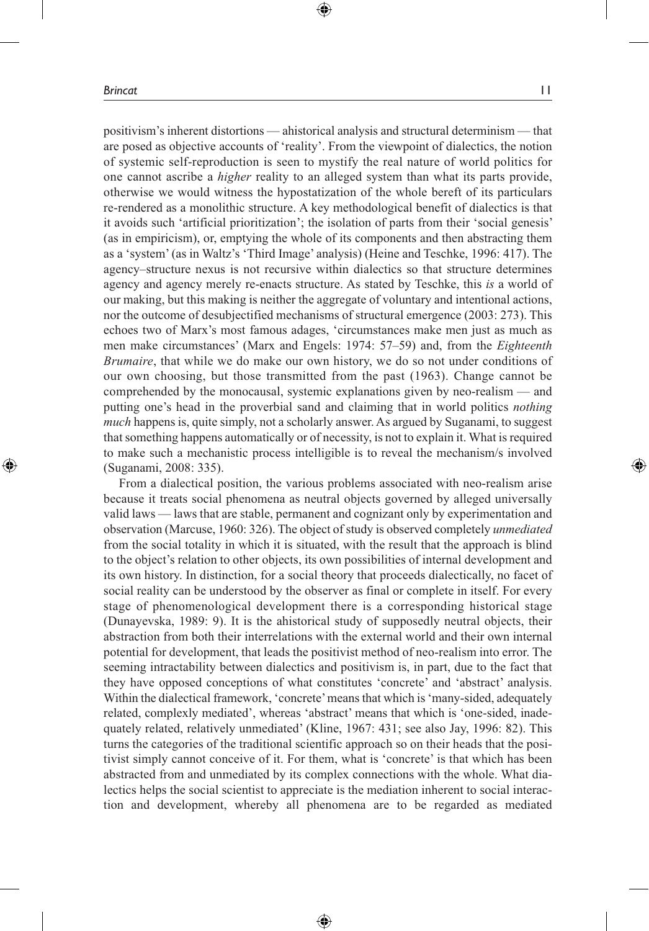positivism's inherent distortions — ahistorical analysis and structural determinism — that are posed as objective accounts of 'reality'. From the viewpoint of dialectics, the notion of systemic self-reproduction is seen to mystify the real nature of world politics for one cannot ascribe a *higher* reality to an alleged system than what its parts provide, otherwise we would witness the hypostatization of the whole bereft of its particulars re-rendered as a monolithic structure. A key methodological benefit of dialectics is that it avoids such 'artificial prioritization'; the isolation of parts from their 'social genesis' (as in empiricism), or, emptying the whole of its components and then abstracting them as a 'system' (as in Waltz's 'Third Image' analysis) (Heine and Teschke, 1996: 417). The agency–structure nexus is not recursive within dialectics so that structure determines agency and agency merely re-enacts structure. As stated by Teschke, this *is* a world of our making, but this making is neither the aggregate of voluntary and intentional actions, nor the outcome of desubjectified mechanisms of structural emergence (2003: 273). This echoes two of Marx's most famous adages, 'circumstances make men just as much as men make circumstances' (Marx and Engels: 1974: 57–59) and, from the *Eighteenth Brumaire*, that while we do make our own history, we do so not under conditions of our own choosing, but those transmitted from the past (1963). Change cannot be comprehended by the monocausal, systemic explanations given by neo-realism — and putting one's head in the proverbial sand and claiming that in world politics *nothing much* happens is, quite simply, not a scholarly answer. As argued by Suganami, to suggest that something happens automatically or of necessity, is not to explain it. What is required to make such a mechanistic process intelligible is to reveal the mechanism/s involved (Suganami, 2008: 335).

⊕

From a dialectical position, the various problems associated with neo-realism arise because it treats social phenomena as neutral objects governed by alleged universally valid laws — laws that are stable, permanent and cognizant only by experimentation and observation (Marcuse, 1960: 326). The object of study is observed completely *unmediated* from the social totality in which it is situated, with the result that the approach is blind to the object's relation to other objects, its own possibilities of internal development and its own history. In distinction, for a social theory that proceeds dialectically, no facet of social reality can be understood by the observer as final or complete in itself. For every stage of phenomenological development there is a corresponding historical stage (Dunayevska, 1989: 9). It is the ahistorical study of supposedly neutral objects, their abstraction from both their interrelations with the external world and their own internal potential for development, that leads the positivist method of neo-realism into error. The seeming intractability between dialectics and positivism is, in part, due to the fact that they have opposed conceptions of what constitutes 'concrete' and 'abstract' analysis. Within the dialectical framework, 'concrete' means that which is 'many-sided, adequately related, complexly mediated', whereas 'abstract' means that which is 'one-sided, inadequately related, relatively unmediated' (Kline, 1967: 431; see also Jay, 1996: 82). This turns the categories of the traditional scientific approach so on their heads that the positivist simply cannot conceive of it. For them, what is 'concrete' is that which has been abstracted from and unmediated by its complex connections with the whole. What dialectics helps the social scientist to appreciate is the mediation inherent to social interaction and development, whereby all phenomena are to be regarded as mediated

♠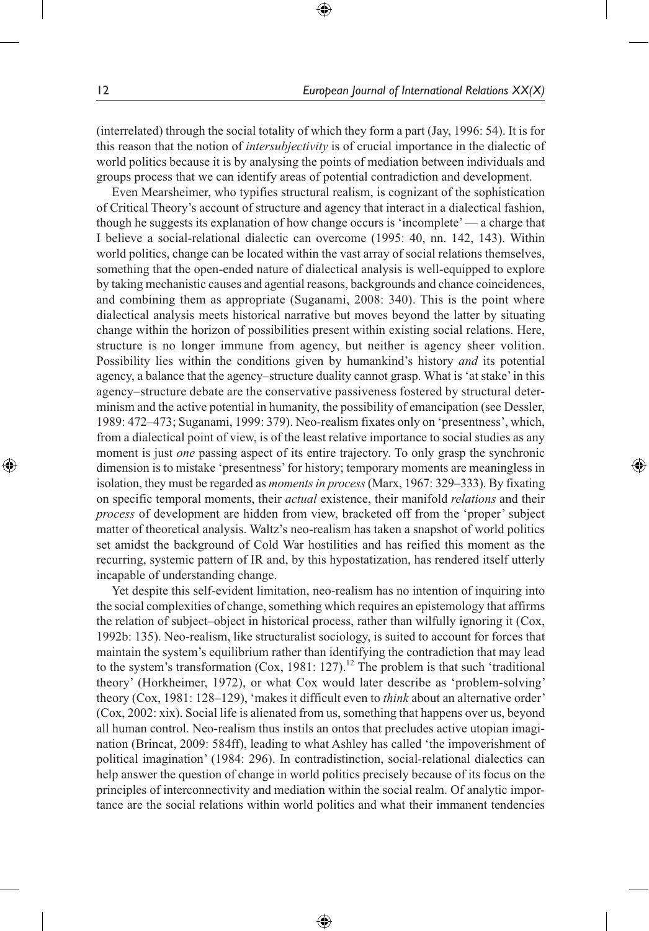(interrelated) through the social totality of which they form a part (Jay, 1996: 54). It is for this reason that the notion of *intersubjectivity* is of crucial importance in the dialectic of world politics because it is by analysing the points of mediation between individuals and groups process that we can identify areas of potential contradiction and development.

⊕

Even Mearsheimer, who typifies structural realism, is cognizant of the sophistication of Critical Theory's account of structure and agency that interact in a dialectical fashion, though he suggests its explanation of how change occurs is 'incomplete' — a charge that I believe a social-relational dialectic can overcome (1995: 40, nn. 142, 143). Within world politics, change can be located within the vast array of social relations themselves, something that the open-ended nature of dialectical analysis is well-equipped to explore by taking mechanistic causes and agential reasons, backgrounds and chance coincidences, and combining them as appropriate (Suganami, 2008: 340). This is the point where dialectical analysis meets historical narrative but moves beyond the latter by situating change within the horizon of possibilities present within existing social relations. Here, structure is no longer immune from agency, but neither is agency sheer volition. Possibility lies within the conditions given by humankind's history *and* its potential agency, a balance that the agency–structure duality cannot grasp. What is 'at stake' in this agency–structure debate are the conservative passiveness fostered by structural determinism and the active potential in humanity, the possibility of emancipation (see Dessler, 1989: 472–473; Suganami, 1999: 379). Neo-realism fixates only on 'presentness', which, from a dialectical point of view, is of the least relative importance to social studies as any moment is just *one* passing aspect of its entire trajectory. To only grasp the synchronic dimension is to mistake 'presentness' for history; temporary moments are meaningless in isolation, they must be regarded as *moments in process* (Marx, 1967: 329–333). By fixating on specific temporal moments, their *actual* existence, their manifold *relations* and their *process* of development are hidden from view, bracketed off from the 'proper' subject matter of theoretical analysis. Waltz's neo-realism has taken a snapshot of world politics set amidst the background of Cold War hostilities and has reified this moment as the recurring, systemic pattern of IR and, by this hypostatization, has rendered itself utterly incapable of understanding change.

Yet despite this self-evident limitation, neo-realism has no intention of inquiring into the social complexities of change, something which requires an epistemology that affirms the relation of subject–object in historical process, rather than wilfully ignoring it (Cox, 1992b: 135). Neo-realism, like structuralist sociology, is suited to account for forces that maintain the system's equilibrium rather than identifying the contradiction that may lead to the system's transformation (Cox, 1981: 127).<sup>12</sup> The problem is that such 'traditional theory' (Horkheimer, 1972), or what Cox would later describe as 'problem-solving' theory (Cox, 1981: 128–129), 'makes it difficult even to *think* about an alternative order' (Cox, 2002: xix). Social life is alienated from us, something that happens over us, beyond all human control. Neo-realism thus instils an ontos that precludes active utopian imagination (Brincat, 2009: 584ff), leading to what Ashley has called 'the impoverishment of political imagination' (1984: 296). In contradistinction, social-relational dialectics can help answer the question of change in world politics precisely because of its focus on the principles of interconnectivity and mediation within the social realm. Of analytic importance are the social relations within world politics and what their immanent tendencies

⊕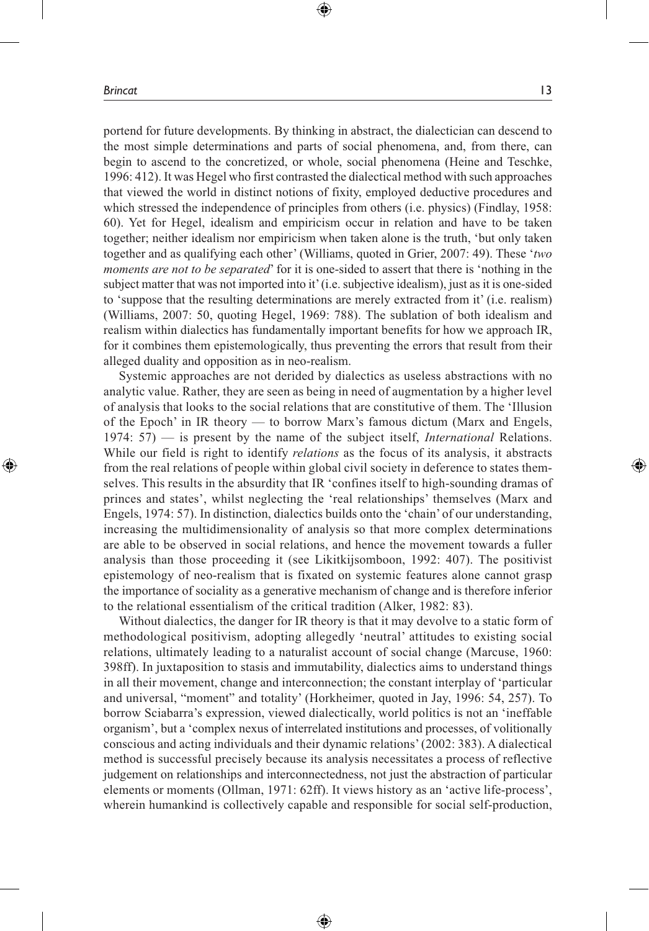portend for future developments. By thinking in abstract, the dialectician can descend to the most simple determinations and parts of social phenomena, and, from there, can begin to ascend to the concretized, or whole, social phenomena (Heine and Teschke, 1996: 412). It was Hegel who first contrasted the dialectical method with such approaches that viewed the world in distinct notions of fixity, employed deductive procedures and which stressed the independence of principles from others (i.e. physics) (Findlay, 1958; 60). Yet for Hegel, idealism and empiricism occur in relation and have to be taken together; neither idealism nor empiricism when taken alone is the truth, 'but only taken together and as qualifying each other' (Williams, quoted in Grier, 2007: 49). These '*two moments are not to be separated*' for it is one-sided to assert that there is 'nothing in the subject matter that was not imported into it' (i.e. subjective idealism), just as it is one-sided to 'suppose that the resulting determinations are merely extracted from it' (i.e. realism) (Williams, 2007: 50, quoting Hegel, 1969: 788). The sublation of both idealism and realism within dialectics has fundamentally important benefits for how we approach IR, for it combines them epistemologically, thus preventing the errors that result from their alleged duality and opposition as in neo-realism.

⊕

Systemic approaches are not derided by dialectics as useless abstractions with no analytic value. Rather, they are seen as being in need of augmentation by a higher level of analysis that looks to the social relations that are constitutive of them. The 'Illusion of the Epoch' in IR theory — to borrow Marx's famous dictum (Marx and Engels, 1974: 57) — is present by the name of the subject itself, *International* Relations. While our field is right to identify *relations* as the focus of its analysis, it abstracts from the real relations of people within global civil society in deference to states themselves. This results in the absurdity that IR 'confines itself to high-sounding dramas of princes and states', whilst neglecting the 'real relationships' themselves (Marx and Engels, 1974: 57). In distinction, dialectics builds onto the 'chain' of our understanding, increasing the multidimensionality of analysis so that more complex determinations are able to be observed in social relations, and hence the movement towards a fuller analysis than those proceeding it (see Likitkijsomboon, 1992: 407). The positivist epistemology of neo-realism that is fixated on systemic features alone cannot grasp the importance of sociality as a generative mechanism of change and is therefore inferior to the relational essentialism of the critical tradition (Alker, 1982: 83).

Without dialectics, the danger for IR theory is that it may devolve to a static form of methodological positivism, adopting allegedly 'neutral' attitudes to existing social relations, ultimately leading to a naturalist account of social change (Marcuse, 1960: 398ff). In juxtaposition to stasis and immutability, dialectics aims to understand things in all their movement, change and interconnection; the constant interplay of 'particular and universal, "moment" and totality' (Horkheimer, quoted in Jay, 1996: 54, 257). To borrow Sciabarra's expression, viewed dialectically, world politics is not an 'ineffable organism', but a 'complex nexus of interrelated institutions and processes, of volitionally conscious and acting individuals and their dynamic relations' (2002: 383). A dialectical method is successful precisely because its analysis necessitates a process of reflective judgement on relationships and interconnectedness, not just the abstraction of particular elements or moments (Ollman, 1971: 62ff). It views history as an 'active life-process', wherein humankind is collectively capable and responsible for social self-production,

⊕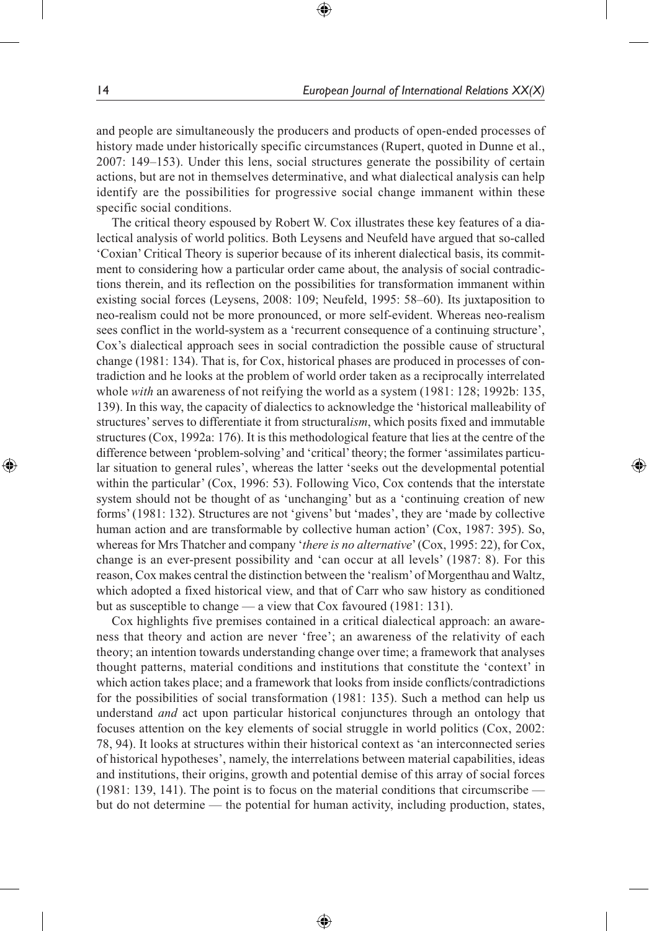and people are simultaneously the producers and products of open-ended processes of history made under historically specific circumstances (Rupert, quoted in Dunne et al., 2007: 149–153). Under this lens, social structures generate the possibility of certain actions, but are not in themselves determinative, and what dialectical analysis can help identify are the possibilities for progressive social change immanent within these specific social conditions.

⊕

The critical theory espoused by Robert W. Cox illustrates these key features of a dialectical analysis of world politics. Both Leysens and Neufeld have argued that so-called 'Coxian' Critical Theory is superior because of its inherent dialectical basis, its commitment to considering how a particular order came about, the analysis of social contradictions therein, and its reflection on the possibilities for transformation immanent within existing social forces (Leysens, 2008: 109; Neufeld, 1995: 58–60). Its juxtaposition to neo-realism could not be more pronounced, or more self-evident. Whereas neo-realism sees conflict in the world-system as a 'recurrent consequence of a continuing structure', Cox's dialectical approach sees in social contradiction the possible cause of structural change (1981: 134). That is, for Cox, historical phases are produced in processes of contradiction and he looks at the problem of world order taken as a reciprocally interrelated whole *with* an awareness of not reifying the world as a system (1981: 128; 1992b: 135, 139). In this way, the capacity of dialectics to acknowledge the 'historical malleability of structures' serves to differentiate it from structural*ism*, which posits fixed and immutable structures (Cox, 1992a: 176). It is this methodological feature that lies at the centre of the difference between 'problem-solving' and 'critical' theory; the former 'assimilates particular situation to general rules', whereas the latter 'seeks out the developmental potential within the particular' (Cox, 1996: 53). Following Vico, Cox contends that the interstate system should not be thought of as 'unchanging' but as a 'continuing creation of new forms' (1981: 132). Structures are not 'givens' but 'mades', they are 'made by collective human action and are transformable by collective human action' (Cox, 1987: 395). So, whereas for Mrs Thatcher and company '*there is no alternative*' (Cox, 1995: 22), for Cox, change is an ever-present possibility and 'can occur at all levels' (1987: 8). For this reason, Cox makes central the distinction between the 'realism' of Morgenthau and Waltz, which adopted a fixed historical view, and that of Carr who saw history as conditioned but as susceptible to change — a view that Cox favoured (1981: 131).

Cox highlights five premises contained in a critical dialectical approach: an awareness that theory and action are never 'free'; an awareness of the relativity of each theory; an intention towards understanding change over time; a framework that analyses thought patterns, material conditions and institutions that constitute the 'context' in which action takes place; and a framework that looks from inside conflicts/contradictions for the possibilities of social transformation (1981: 135). Such a method can help us understand *and* act upon particular historical conjunctures through an ontology that focuses attention on the key elements of social struggle in world politics (Cox, 2002: 78, 94). It looks at structures within their historical context as 'an interconnected series of historical hypotheses', namely, the interrelations between material capabilities, ideas and institutions, their origins, growth and potential demise of this array of social forces (1981: 139, 141). The point is to focus on the material conditions that circumscribe but do not determine — the potential for human activity, including production, states,

⊕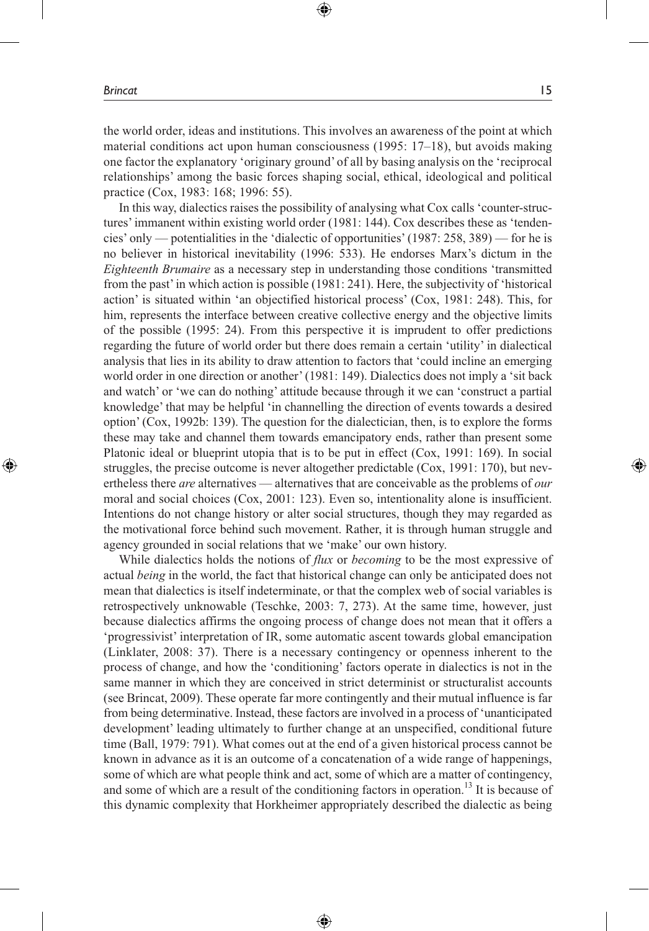⊕

the world order, ideas and institutions. This involves an awareness of the point at which material conditions act upon human consciousness (1995: 17–18), but avoids making one factor the explanatory 'originary ground' of all by basing analysis on the 'reciprocal relationships' among the basic forces shaping social, ethical, ideological and political practice (Cox, 1983: 168; 1996: 55).

⊕

In this way, dialectics raises the possibility of analysing what Cox calls 'counter-structures' immanent within existing world order (1981: 144). Cox describes these as 'tendencies' only — potentialities in the 'dialectic of opportunities' (1987: 258, 389) — for he is no believer in historical inevitability (1996: 533). He endorses Marx's dictum in the *Eighteenth Brumaire* as a necessary step in understanding those conditions 'transmitted from the past' in which action is possible (1981: 241). Here, the subjectivity of 'historical action' is situated within 'an objectified historical process' (Cox, 1981: 248). This, for him, represents the interface between creative collective energy and the objective limits of the possible (1995: 24). From this perspective it is imprudent to offer predictions regarding the future of world order but there does remain a certain 'utility' in dialectical analysis that lies in its ability to draw attention to factors that 'could incline an emerging world order in one direction or another' (1981: 149). Dialectics does not imply a 'sit back and watch' or 'we can do nothing' attitude because through it we can 'construct a partial knowledge' that may be helpful 'in channelling the direction of events towards a desired option' (Cox, 1992b: 139). The question for the dialectician, then, is to explore the forms these may take and channel them towards emancipatory ends, rather than present some Platonic ideal or blueprint utopia that is to be put in effect (Cox, 1991: 169). In social struggles, the precise outcome is never altogether predictable (Cox, 1991: 170), but nevertheless there *are* alternatives — alternatives that are conceivable as the problems of *our* moral and social choices (Cox, 2001: 123). Even so, intentionality alone is insufficient. Intentions do not change history or alter social structures, though they may regarded as the motivational force behind such movement. Rather, it is through human struggle and agency grounded in social relations that we 'make' our own history.

While dialectics holds the notions of *flux* or *becoming* to be the most expressive of actual *being* in the world, the fact that historical change can only be anticipated does not mean that dialectics is itself indeterminate, or that the complex web of social variables is retrospectively unknowable (Teschke, 2003: 7, 273). At the same time, however, just because dialectics affirms the ongoing process of change does not mean that it offers a 'progressivist' interpretation of IR, some automatic ascent towards global emancipation (Linklater, 2008: 37). There is a necessary contingency or openness inherent to the process of change, and how the 'conditioning' factors operate in dialectics is not in the same manner in which they are conceived in strict determinist or structuralist accounts (see Brincat, 2009). These operate far more contingently and their mutual influence is far from being determinative. Instead, these factors are involved in a process of 'unanticipated development' leading ultimately to further change at an unspecified, conditional future time (Ball, 1979: 791). What comes out at the end of a given historical process cannot be known in advance as it is an outcome of a concatenation of a wide range of happenings, some of which are what people think and act, some of which are a matter of contingency, and some of which are a result of the conditioning factors in operation.<sup>13</sup> It is because of this dynamic complexity that Horkheimer appropriately described the dialectic as being

⊕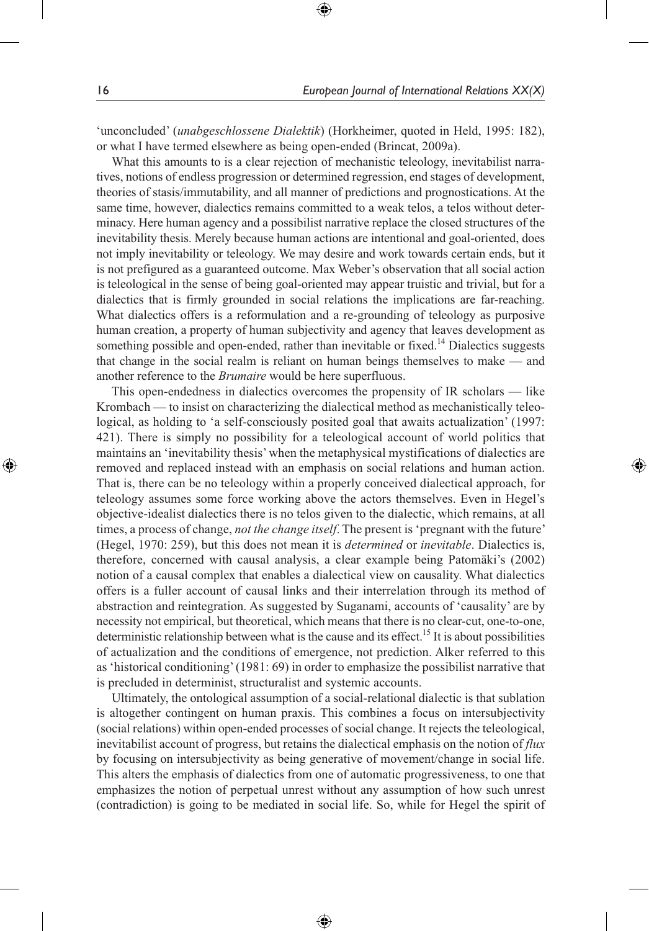'unconcluded' (*unabgeschlossene Dialektik*) (Horkheimer, quoted in Held, 1995: 182), or what I have termed elsewhere as being open-ended (Brincat, 2009a).

⊕

What this amounts to is a clear rejection of mechanistic teleology, inevitabilist narratives, notions of endless progression or determined regression, end stages of development, theories of stasis/immutability, and all manner of predictions and prognostications. At the same time, however, dialectics remains committed to a weak telos, a telos without determinacy. Here human agency and a possibilist narrative replace the closed structures of the inevitability thesis. Merely because human actions are intentional and goal-oriented, does not imply inevitability or teleology. We may desire and work towards certain ends, but it is not prefigured as a guaranteed outcome. Max Weber's observation that all social action is teleological in the sense of being goal-oriented may appear truistic and trivial, but for a dialectics that is firmly grounded in social relations the implications are far-reaching. What dialectics offers is a reformulation and a re-grounding of teleology as purposive human creation, a property of human subjectivity and agency that leaves development as something possible and open-ended, rather than inevitable or fixed.<sup>14</sup> Dialectics suggests that change in the social realm is reliant on human beings themselves to make — and another reference to the *Brumaire* would be here superfluous.

This open-endedness in dialectics overcomes the propensity of IR scholars — like Krombach — to insist on characterizing the dialectical method as mechanistically teleological, as holding to 'a self-consciously posited goal that awaits actualization' (1997: 421). There is simply no possibility for a teleological account of world politics that maintains an 'inevitability thesis' when the metaphysical mystifications of dialectics are removed and replaced instead with an emphasis on social relations and human action. That is, there can be no teleology within a properly conceived dialectical approach, for teleology assumes some force working above the actors themselves. Even in Hegel's objective-idealist dialectics there is no telos given to the dialectic, which remains, at all times, a process of change, *not the change itself*. The present is 'pregnant with the future' (Hegel, 1970: 259), but this does not mean it is *determined* or *inevitable*. Dialectics is, therefore, concerned with causal analysis, a clear example being Patomäki's (2002) notion of a causal complex that enables a dialectical view on causality. What dialectics offers is a fuller account of causal links and their interrelation through its method of abstraction and reintegration. As suggested by Suganami, accounts of 'causality' are by necessity not empirical, but theoretical, which means that there is no clear-cut, one-to-one, deterministic relationship between what is the cause and its effect.<sup>15</sup> It is about possibilities of actualization and the conditions of emergence, not prediction. Alker referred to this as 'historical conditioning' (1981: 69) in order to emphasize the possibilist narrative that is precluded in determinist, structuralist and systemic accounts.

Ultimately, the ontological assumption of a social-relational dialectic is that sublation is altogether contingent on human praxis. This combines a focus on intersubjectivity (social relations) within open-ended processes of social change. It rejects the teleological, inevitabilist account of progress, but retains the dialectical emphasis on the notion of *flux* by focusing on intersubjectivity as being generative of movement/change in social life. This alters the emphasis of dialectics from one of automatic progressiveness, to one that emphasizes the notion of perpetual unrest without any assumption of how such unrest (contradiction) is going to be mediated in social life. So, while for Hegel the spirit of

⊕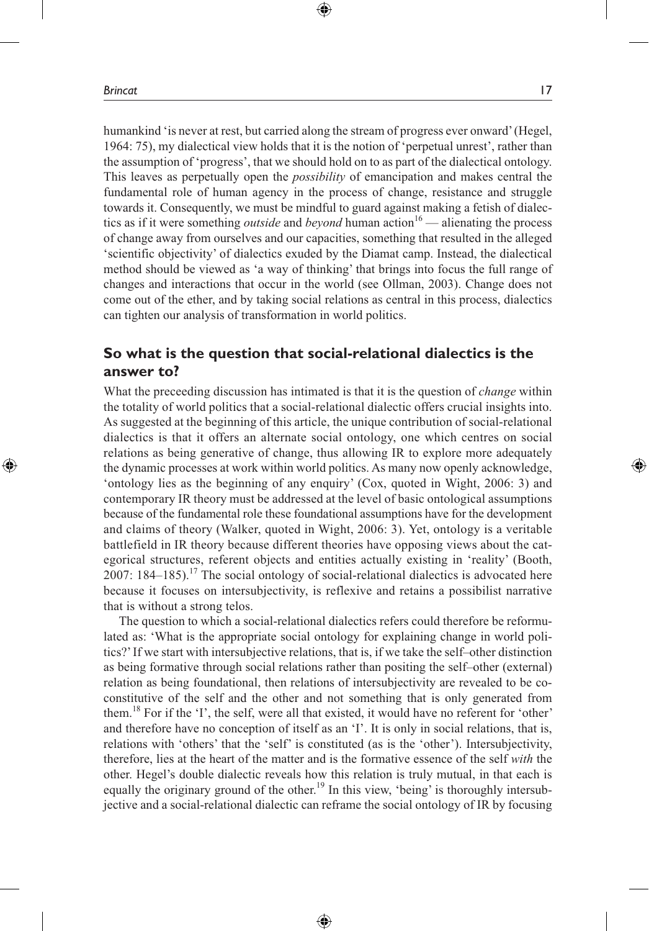humankind 'is never at rest, but carried along the stream of progress ever onward' (Hegel, 1964: 75), my dialectical view holds that it is the notion of 'perpetual unrest', rather than the assumption of 'progress', that we should hold on to as part of the dialectical ontology. This leaves as perpetually open the *possibility* of emancipation and makes central the fundamental role of human agency in the process of change, resistance and struggle towards it. Consequently, we must be mindful to guard against making a fetish of dialectics as if it were something *outside* and *beyond* human action<sup>16</sup> — alienating the process of change away from ourselves and our capacities, something that resulted in the alleged 'scientific objectivity' of dialectics exuded by the Diamat camp. Instead, the dialectical method should be viewed as 'a way of thinking' that brings into focus the full range of changes and interactions that occur in the world (see Ollman, 2003). Change does not come out of the ether, and by taking social relations as central in this process, dialectics can tighten our analysis of transformation in world politics.

⊕

## **So what is the question that social-relational dialectics is the answer to?**

What the preceeding discussion has intimated is that it is the question of *change* within the totality of world politics that a social-relational dialectic offers crucial insights into. As suggested at the beginning of this article, the unique contribution of social-relational dialectics is that it offers an alternate social ontology, one which centres on social relations as being generative of change, thus allowing IR to explore more adequately the dynamic processes at work within world politics. As many now openly acknowledge, 'ontology lies as the beginning of any enquiry' (Cox, quoted in Wight, 2006: 3) and contemporary IR theory must be addressed at the level of basic ontological assumptions because of the fundamental role these foundational assumptions have for the development and claims of theory (Walker, quoted in Wight, 2006: 3). Yet, ontology is a veritable battlefield in IR theory because different theories have opposing views about the categorical structures, referent objects and entities actually existing in 'reality' (Booth, 2007:  $184-185$ ).<sup>17</sup> The social ontology of social-relational dialectics is advocated here because it focuses on intersubjectivity, is reflexive and retains a possibilist narrative that is without a strong telos.

The question to which a social-relational dialectics refers could therefore be reformulated as: 'What is the appropriate social ontology for explaining change in world politics?' If we start with intersubjective relations, that is, if we take the self–other distinction as being formative through social relations rather than positing the self–other (external) relation as being foundational, then relations of intersubjectivity are revealed to be coconstitutive of the self and the other and not something that is only generated from them.18 For if the 'I', the self, were all that existed, it would have no referent for 'other' and therefore have no conception of itself as an 'I'. It is only in social relations, that is, relations with 'others' that the 'self' is constituted (as is the 'other'). Intersubjectivity, therefore, lies at the heart of the matter and is the formative essence of the self *with* the other. Hegel's double dialectic reveals how this relation is truly mutual, in that each is equally the originary ground of the other.<sup>19</sup> In this view, 'being' is thoroughly intersubjective and a social-relational dialectic can reframe the social ontology of IR by focusing

⊕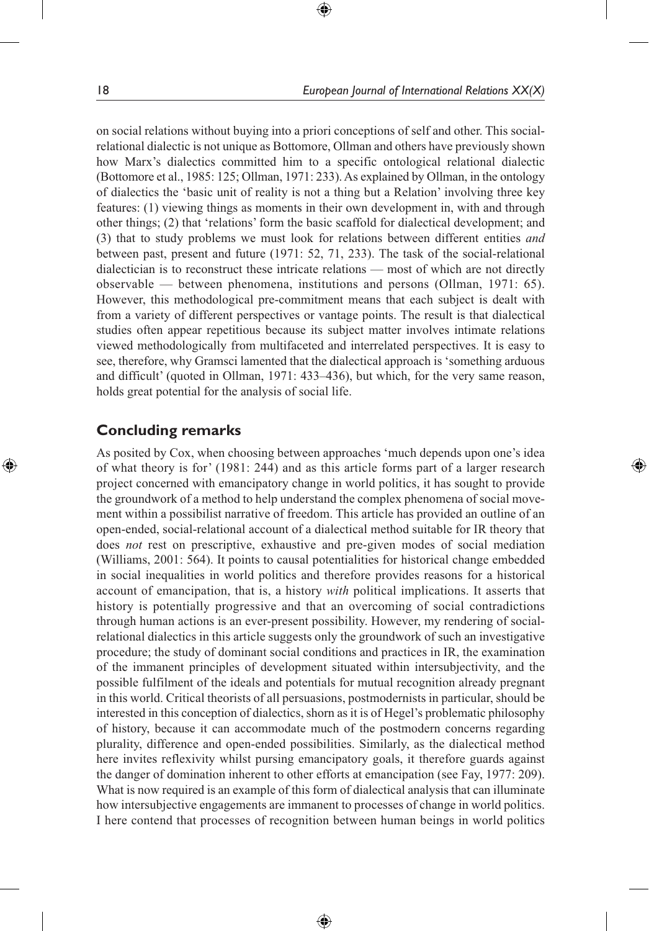on social relations without buying into a priori conceptions of self and other. This socialrelational dialectic is not unique as Bottomore, Ollman and others have previously shown how Marx's dialectics committed him to a specific ontological relational dialectic (Bottomore et al., 1985: 125; Ollman, 1971: 233). As explained by Ollman, in the ontology of dialectics the 'basic unit of reality is not a thing but a Relation' involving three key features: (1) viewing things as moments in their own development in, with and through other things; (2) that 'relations' form the basic scaffold for dialectical development; and (3) that to study problems we must look for relations between different entities *and*  between past, present and future (1971: 52, 71, 233). The task of the social-relational dialectician is to reconstruct these intricate relations — most of which are not directly observable — between phenomena, institutions and persons (Ollman, 1971: 65). However, this methodological pre-commitment means that each subject is dealt with from a variety of different perspectives or vantage points. The result is that dialectical studies often appear repetitious because its subject matter involves intimate relations viewed methodologically from multifaceted and interrelated perspectives. It is easy to see, therefore, why Gramsci lamented that the dialectical approach is 'something arduous and difficult' (quoted in Ollman, 1971: 433–436), but which, for the very same reason, holds great potential for the analysis of social life.

⊕

## **Concluding remarks**

◈

As posited by Cox, when choosing between approaches 'much depends upon one's idea of what theory is for' (1981: 244) and as this article forms part of a larger research project concerned with emancipatory change in world politics, it has sought to provide the groundwork of a method to help understand the complex phenomena of social movement within a possibilist narrative of freedom. This article has provided an outline of an open-ended, social-relational account of a dialectical method suitable for IR theory that does *not* rest on prescriptive, exhaustive and pre-given modes of social mediation (Williams, 2001: 564). It points to causal potentialities for historical change embedded in social inequalities in world politics and therefore provides reasons for a historical account of emancipation, that is, a history *with* political implications. It asserts that history is potentially progressive and that an overcoming of social contradictions through human actions is an ever-present possibility. However, my rendering of socialrelational dialectics in this article suggests only the groundwork of such an investigative procedure; the study of dominant social conditions and practices in IR, the examination of the immanent principles of development situated within intersubjectivity, and the possible fulfilment of the ideals and potentials for mutual recognition already pregnant in this world. Critical theorists of all persuasions, postmodernists in particular, should be interested in this conception of dialectics, shorn as it is of Hegel's problematic philosophy of history, because it can accommodate much of the postmodern concerns regarding plurality, difference and open-ended possibilities. Similarly, as the dialectical method here invites reflexivity whilst pursing emancipatory goals, it therefore guards against the danger of domination inherent to other efforts at emancipation (see Fay, 1977: 209). What is now required is an example of this form of dialectical analysis that can illuminate how intersubjective engagements are immanent to processes of change in world politics. I here contend that processes of recognition between human beings in world politics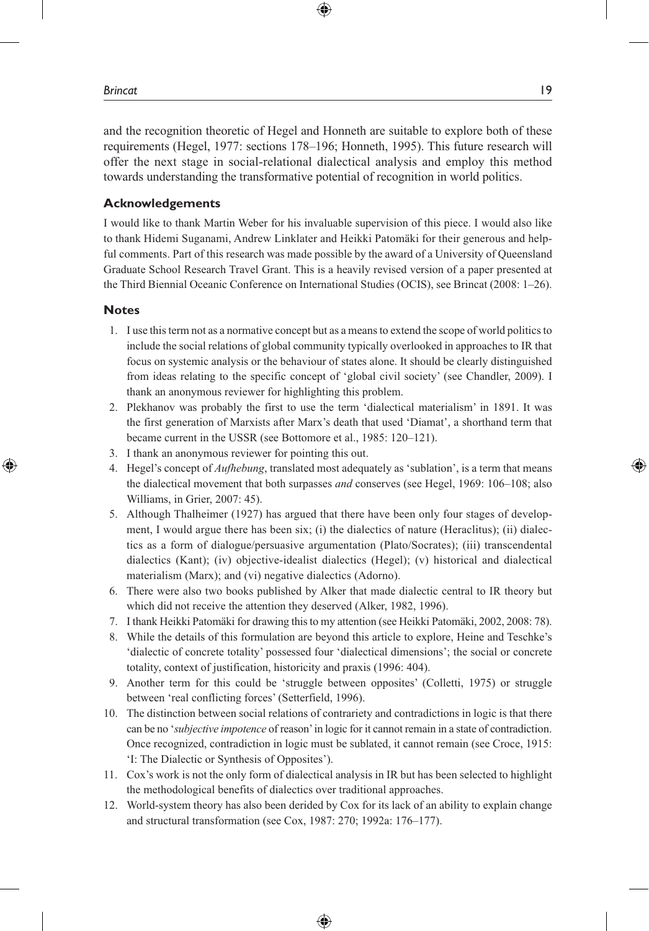and the recognition theoretic of Hegel and Honneth are suitable to explore both of these requirements (Hegel, 1977: sections 178–196; Honneth, 1995). This future research will offer the next stage in social-relational dialectical analysis and employ this method towards understanding the transformative potential of recognition in world politics.

⊕

#### **Acknowledgements**

I would like to thank Martin Weber for his invaluable supervision of this piece. I would also like to thank Hidemi Suganami, Andrew Linklater and Heikki Patomäki for their generous and helpful comments. Part of this research was made possible by the award of a University of Queensland Graduate School Research Travel Grant. This is a heavily revised version of a paper presented at the Third Biennial Oceanic Conference on International Studies (OCIS), see Brincat (2008: 1–26).

#### **Notes**

⊕

- 1. I use this term not as a normative concept but as a means to extend the scope of world politics to include the social relations of global community typically overlooked in approaches to IR that focus on systemic analysis or the behaviour of states alone. It should be clearly distinguished from ideas relating to the specific concept of 'global civil society' (see Chandler, 2009). I thank an anonymous reviewer for highlighting this problem.
- 2. Plekhanov was probably the first to use the term 'dialectical materialism' in 1891. It was the first generation of Marxists after Marx's death that used 'Diamat', a shorthand term that became current in the USSR (see Bottomore et al., 1985: 120–121).
- 3. I thank an anonymous reviewer for pointing this out.
- 4. Hegel's concept of *Aufhebung*, translated most adequately as 'sublation', is a term that means the dialectical movement that both surpasses *and* conserves (see Hegel, 1969: 106–108; also Williams, in Grier, 2007: 45).
- 5. Although Thalheimer (1927) has argued that there have been only four stages of development, I would argue there has been six; (i) the dialectics of nature (Heraclitus); (ii) dialectics as a form of dialogue/persuasive argumentation (Plato/Socrates); (iii) transcendental dialectics (Kant); (iv) objective-idealist dialectics (Hegel); (v) historical and dialectical materialism (Marx); and (vi) negative dialectics (Adorno).
- 6. There were also two books published by Alker that made dialectic central to IR theory but which did not receive the attention they deserved (Alker, 1982, 1996).
- 7. I thank Heikki Patomäki for drawing this to my attention (see Heikki Patomäki, 2002, 2008: 78).
- 8. While the details of this formulation are beyond this article to explore, Heine and Teschke's 'dialectic of concrete totality' possessed four 'dialectical dimensions'; the social or concrete totality, context of justification, historicity and praxis (1996: 404).
- 9. Another term for this could be 'struggle between opposites' (Colletti, 1975) or struggle between 'real conflicting forces' (Setterfield, 1996).
- 10. The distinction between social relations of contrariety and contradictions in logic is that there can be no '*subjective impotence* of reason' in logic for it cannot remain in a state of contradiction. Once recognized, contradiction in logic must be sublated, it cannot remain (see Croce, 1915: 'I: The Dialectic or Synthesis of Opposites').
- 11. Cox's work is not the only form of dialectical analysis in IR but has been selected to highlight the methodological benefits of dialectics over traditional approaches.
- 12. World-system theory has also been derided by Cox for its lack of an ability to explain change and structural transformation (see Cox, 1987: 270; 1992a: 176–177).

♠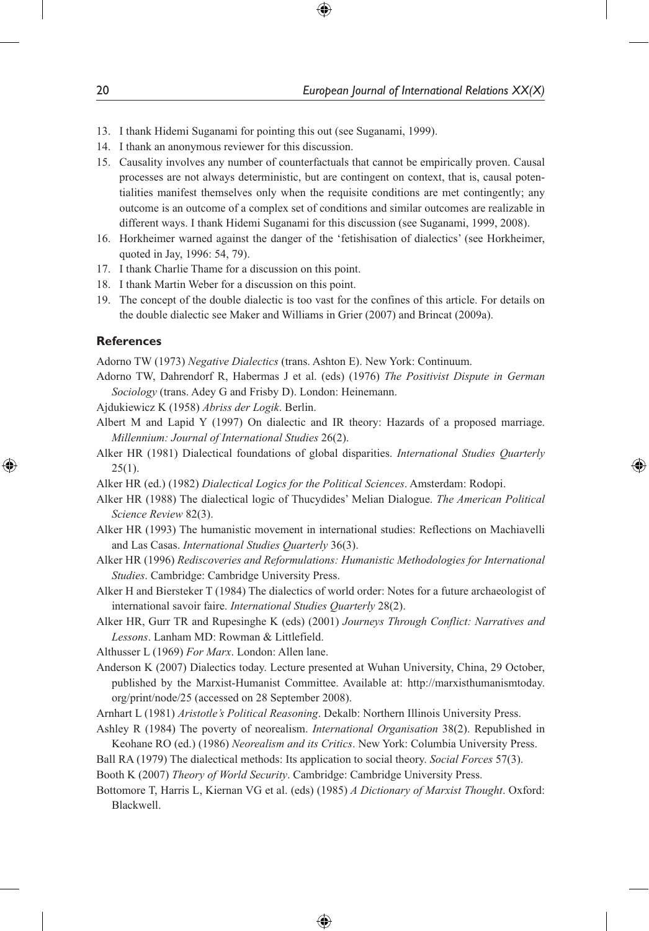- 13. I thank Hidemi Suganami for pointing this out (see Suganami, 1999).
- 14. I thank an anonymous reviewer for this discussion.
- 15. Causality involves any number of counterfactuals that cannot be empirically proven. Causal processes are not always deterministic, but are contingent on context, that is, causal potentialities manifest themselves only when the requisite conditions are met contingently; any outcome is an outcome of a complex set of conditions and similar outcomes are realizable in different ways. I thank Hidemi Suganami for this discussion (see Suganami, 1999, 2008).

⊕

- 16. Horkheimer warned against the danger of the 'fetishisation of dialectics' (see Horkheimer, quoted in Jay, 1996: 54, 79).
- 17. I thank Charlie Thame for a discussion on this point.
- 18. I thank Martin Weber for a discussion on this point.
- 19. The concept of the double dialectic is too vast for the confines of this article. For details on the double dialectic see Maker and Williams in Grier (2007) and Brincat (2009a).

#### **References**

⊕

Adorno TW (1973) *Negative Dialectics* (trans. Ashton E). New York: Continuum.

Adorno TW, Dahrendorf R, Habermas J et al. (eds) (1976) *The Positivist Dispute in German Sociology* (trans. Adey G and Frisby D). London: Heinemann.

Ajdukiewicz K (1958) *Abriss der Logik*. Berlin.

- Albert M and Lapid Y (1997) On dialectic and IR theory: Hazards of a proposed marriage. *Millennium: Journal of International Studies* 26(2).
- Alker HR (1981) Dialectical foundations of global disparities. *International Studies Quarterly*  $25(1)$ .
- Alker HR (ed.) (1982) *Dialectical Logics for the Political Sciences*. Amsterdam: Rodopi.
- Alker HR (1988) The dialectical logic of Thucydides' Melian Dialogue. *The American Political Science Review* 82(3).
- Alker HR (1993) The humanistic movement in international studies: Reflections on Machiavelli and Las Casas. *International Studies Quarterly* 36(3).
- Alker HR (1996) *Rediscoveries and Reformulations: Humanistic Methodologies for International Studies*. Cambridge: Cambridge University Press.
- Alker H and Biersteker T (1984) The dialectics of world order: Notes for a future archaeologist of international savoir faire. *International Studies Quarterly* 28(2).

Alker HR, Gurr TR and Rupesinghe K (eds) (2001) *Journeys Through Conflict: Narratives and Lessons*. Lanham MD: Rowman & Littlefield.

Althusser L (1969) *For Marx*. London: Allen lane.

Anderson K (2007) Dialectics today. Lecture presented at Wuhan University, China, 29 October, published by the Marxist-Humanist Committee. Available at: http://marxisthumanismtoday. org/print/node/25 (accessed on 28 September 2008).

Arnhart L (1981) *Aristotle's Political Reasoning*. Dekalb: Northern Illinois University Press.

- Ashley R (1984) The poverty of neorealism. *International Organisation* 38(2). Republished in Keohane RO (ed.) (1986) *Neorealism and its Critics*. New York: Columbia University Press.
- Ball RA (1979) The dialectical methods: Its application to social theory. *Social Forces* 57(3).
- Booth K (2007) *Theory of World Security*. Cambridge: Cambridge University Press.
- Bottomore T, Harris L, Kiernan VG et al. (eds) (1985) *A Dictionary of Marxist Thought*. Oxford: Blackwell.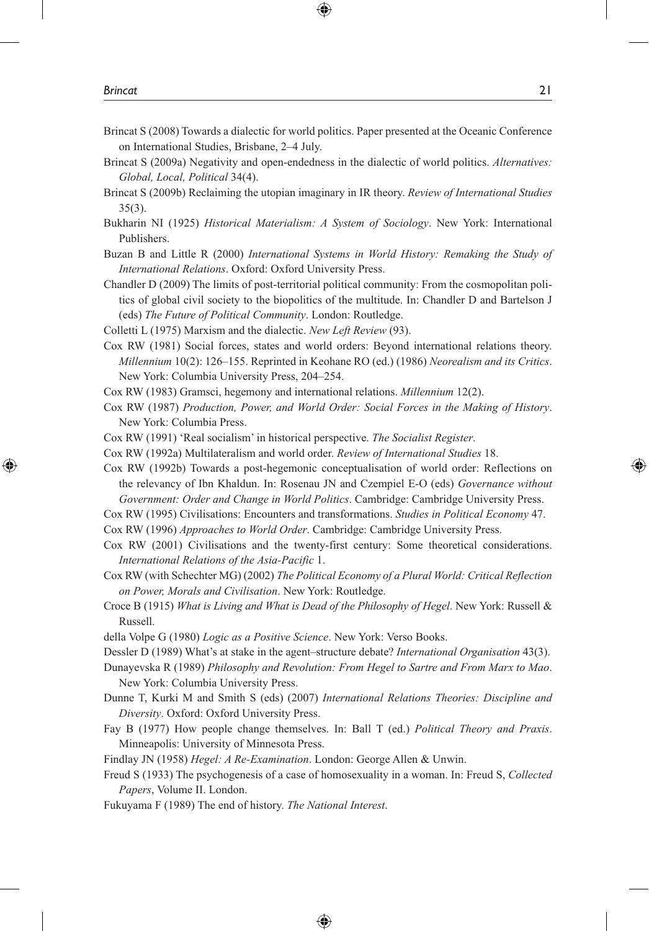Brincat S (2008) Towards a dialectic for world politics. Paper presented at the Oceanic Conference on International Studies, Brisbane, 2–4 July.

⊕

- Brincat S (2009a) Negativity and open-endedness in the dialectic of world politics. *Alternatives: Global, Local, Political* 34(4).
- Brincat S (2009b) Reclaiming the utopian imaginary in IR theory. *Review of International Studies* 35(3).
- Bukharin NI (1925) *Historical Materialism: A System of Sociology*. New York: International Publishers.
- Buzan B and Little R (2000) *International Systems in World History: Remaking the Study of International Relations*. Oxford: Oxford University Press.
- Chandler D (2009) The limits of post-territorial political community: From the cosmopolitan politics of global civil society to the biopolitics of the multitude. In: Chandler D and Bartelson J (eds) *The Future of Political Community*. London: Routledge.
- Colletti L (1975) Marxism and the dialectic. *New Left Review* (93).

Cox RW (1981) Social forces, states and world orders: Beyond international relations theory. *Millennium* 10(2): 126–155. Reprinted in Keohane RO (ed.) (1986) *Neorealism and its Critics*. New York: Columbia University Press, 204–254.

- Cox RW (1983) Gramsci, hegemony and international relations. *Millennium* 12(2).
- Cox RW (1987) *Production, Power, and World Order: Social Forces in the Making of History*. New York: Columbia Press.
- Cox RW (1991) 'Real socialism' in historical perspective. *The Socialist Register*.
- Cox RW (1992a) Multilateralism and world order. *Review of International Studies* 18.

Cox RW (1992b) Towards a post-hegemonic conceptualisation of world order: Reflections on the relevancy of Ibn Khaldun. In: Rosenau JN and Czempiel E-O (eds) *Governance without Government: Order and Change in World Politics*. Cambridge: Cambridge University Press.

- Cox RW (1995) Civilisations: Encounters and transformations. *Studies in Political Economy* 47.
- Cox RW (1996) *Approaches to World Order*. Cambridge: Cambridge University Press.
- Cox RW (2001) Civilisations and the twenty-first century: Some theoretical considerations. *International Relations of the Asia-Pacific* 1.
- Cox RW (with Schechter MG) (2002) *The Political Economy of a Plural World: Critical Reflection on Power, Morals and Civilisation*. New York: Routledge.
- Croce B (1915) *What is Living and What is Dead of the Philosophy of Hegel*. New York: Russell & Russell.

della Volpe G (1980) *Logic as a Positive Science*. New York: Verso Books.

Dessler D (1989) What's at stake in the agent–structure debate? *International Organisation* 43(3).

Dunayevska R (1989) *Philosophy and Revolution: From Hegel to Sartre and From Marx to Mao*. New York: Columbia University Press.

Dunne T, Kurki M and Smith S (eds) (2007) *International Relations Theories: Discipline and Diversity*. Oxford: Oxford University Press.

Fay B (1977) How people change themselves. In: Ball T (ed.) *Political Theory and Praxis*. Minneapolis: University of Minnesota Press.

Findlay JN (1958) *Hegel: A Re-Examination*. London: George Allen & Unwin.

Freud S (1933) The psychogenesis of a case of homosexuality in a woman. In: Freud S, *Collected Papers*, Volume II. London.

⊕

Fukuyama F (1989) The end of history. *The National Interest*.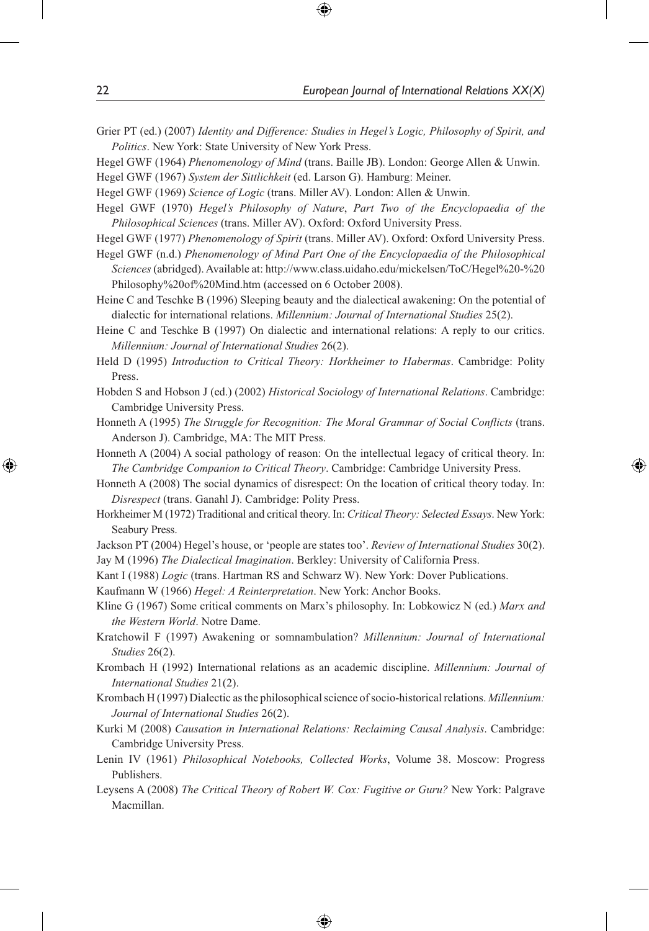Grier PT (ed.) (2007) *Identity and Difference: Studies in Hegel's Logic, Philosophy of Spirit, and Politics*. New York: State University of New York Press.

⊕

Hegel GWF (1964) *Phenomenology of Mind* (trans. Baille JB). London: George Allen & Unwin.

Hegel GWF (1967) *System der Sittlichkeit* (ed. Larson G). Hamburg: Meiner.

- Hegel GWF (1969) *Science of Logic* (trans. Miller AV). London: Allen & Unwin.
- Hegel GWF (1970) *Hegel's Philosophy of Nature*, *Part Two of the Encyclopaedia of the Philosophical Sciences* (trans. Miller AV). Oxford: Oxford University Press.
- Hegel GWF (1977) *Phenomenology of Spirit* (trans. Miller AV). Oxford: Oxford University Press.
- Hegel GWF (n.d.) *Phenomenology of Mind Part One of the Encyclopaedia of the Philosophical Sciences* (abridged). Available at: http://www.class.uidaho.edu/mickelsen/ToC/Hegel%20-%20 Philosophy%20of%20Mind.htm (accessed on 6 October 2008).
- Heine C and Teschke B (1996) Sleeping beauty and the dialectical awakening: On the potential of dialectic for international relations. *Millennium: Journal of International Studies* 25(2).
- Heine C and Teschke B (1997) On dialectic and international relations: A reply to our critics. *Millennium: Journal of International Studies* 26(2).
- Held D (1995) *Introduction to Critical Theory: Horkheimer to Habermas*. Cambridge: Polity Press.
- Hobden S and Hobson J (ed.) (2002) *Historical Sociology of International Relations*. Cambridge: Cambridge University Press.
- Honneth A (1995) *The Struggle for Recognition: The Moral Grammar of Social Conflicts* (trans. Anderson J). Cambridge, MA: The MIT Press.
- Honneth A (2004) A social pathology of reason: On the intellectual legacy of critical theory. In: *The Cambridge Companion to Critical Theory*. Cambridge: Cambridge University Press.
- Honneth A (2008) The social dynamics of disrespect: On the location of critical theory today. In: *Disrespect* (trans. Ganahl J). Cambridge: Polity Press.
- Horkheimer M (1972) Traditional and critical theory. In: *Critical Theory: Selected Essays*. New York: Seabury Press.
- Jackson PT (2004) Hegel's house, or 'people are states too'. *Review of International Studies* 30(2). Jay M (1996) *The Dialectical Imagination*. Berkley: University of California Press.
- Kant I (1988) *Logic* (trans. Hartman RS and Schwarz W). New York: Dover Publications.
- Kaufmann W (1966) *Hegel: A Reinterpretation*. New York: Anchor Books.
- Kline G (1967) Some critical comments on Marx's philosophy. In: Lobkowicz N (ed.) *Marx and the Western World*. Notre Dame.
- Kratchowil F (1997) Awakening or somnambulation? *Millennium: Journal of International Studies* 26(2).
- Krombach H (1992) International relations as an academic discipline. *Millennium: Journal of International Studies* 21(2).
- Krombach H (1997) Dialectic as the philosophical science of socio-historical relations. *Millennium: Journal of International Studies* 26(2).
- Kurki M (2008) *Causation in International Relations: Reclaiming Causal Analysis*. Cambridge: Cambridge University Press.
- Lenin IV (1961) *Philosophical Notebooks, Collected Works*, Volume 38. Moscow: Progress Publishers.
- Leysens A (2008) *The Critical Theory of Robert W. Cox: Fugitive or Guru?* New York: Palgrave Macmillan.

⊕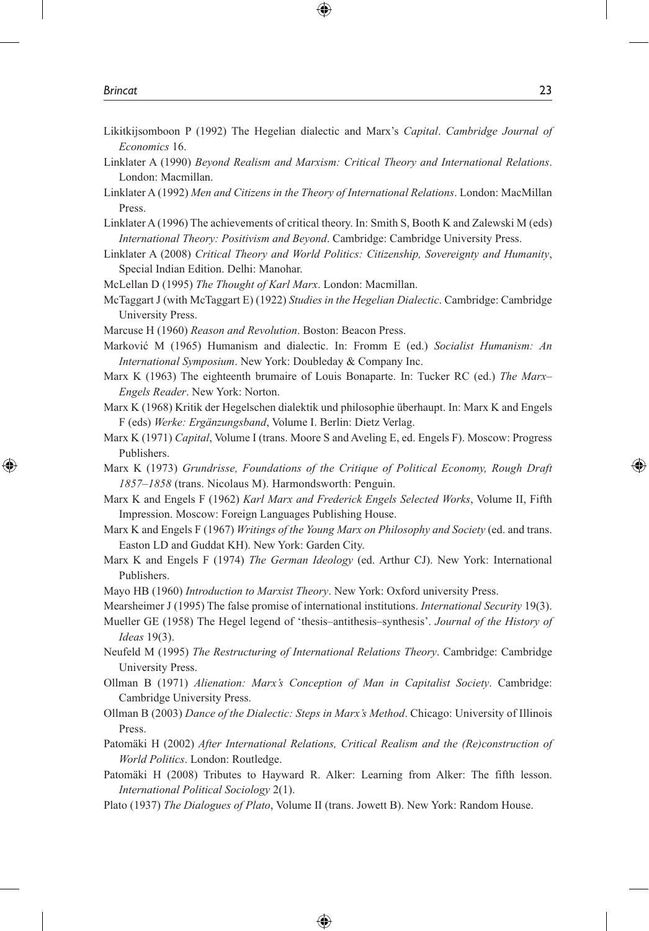Likitkijsomboon P (1992) The Hegelian dialectic and Marx's *Capital*. *Cambridge Journal of Economics* 16.

⊕

- Linklater A (1990) *Beyond Realism and Marxism: Critical Theory and International Relations*. London: Macmillan.
- Linklater A (1992) *Men and Citizens in the Theory of International Relations*. London: MacMillan Press.
- Linklater A (1996) The achievements of critical theory. In: Smith S, Booth K and Zalewski M (eds) *International Theory: Positivism and Beyond*. Cambridge: Cambridge University Press.
- Linklater A (2008) *Critical Theory and World Politics: Citizenship, Sovereignty and Humanity*, Special Indian Edition. Delhi: Manohar.
- McLellan D (1995) *The Thought of Karl Marx*. London: Macmillan.
- McTaggart J (with McTaggart E) (1922) *Studies in the Hegelian Dialectic*. Cambridge: Cambridge University Press.
- Marcuse H (1960) *Reason and Revolution*. Boston: Beacon Press.
- Marković M (1965) Humanism and dialectic. In: Fromm E (ed.) *Socialist Humanism: An International Symposium*. New York: Doubleday & Company Inc.
- Marx K (1963) The eighteenth brumaire of Louis Bonaparte. In: Tucker RC (ed.) *The Marx– Engels Reader*. New York: Norton.
- Marx K (1968) Kritik der Hegelschen dialektik und philosophie überhaupt. In: Marx K and Engels F (eds) *Werke: Ergänzungsband*, Volume I. Berlin: Dietz Verlag.
- Marx K (1971) *Capital*, Volume I (trans. Moore S and Aveling E, ed. Engels F). Moscow: Progress Publishers.
- Marx K (1973) *Grundrisse, Foundations of the Critique of Political Economy, Rough Draft 1857–1858* (trans. Nicolaus M). Harmondsworth: Penguin.
- Marx K and Engels F (1962) *Karl Marx and Frederick Engels Selected Works*, Volume II, Fifth Impression. Moscow: Foreign Languages Publishing House.
- Marx K and Engels F (1967) *Writings of the Young Marx on Philosophy and Society* (ed. and trans. Easton LD and Guddat KH). New York: Garden City.
- Marx K and Engels F (1974) *The German Ideology* (ed. Arthur CJ). New York: International Publishers.
- Mayo HB (1960) *Introduction to Marxist Theory*. New York: Oxford university Press.
- Mearsheimer J (1995) The false promise of international institutions. *International Security* 19(3).
- Mueller GE (1958) The Hegel legend of 'thesis–antithesis–synthesis'. *Journal of the History of Ideas* 19(3).
- Neufeld M (1995) *The Restructuring of International Relations Theory*. Cambridge: Cambridge University Press.
- Ollman B (1971) *Alienation: Marx's Conception of Man in Capitalist Society*. Cambridge: Cambridge University Press.
- Ollman B (2003) *Dance of the Dialectic: Steps in Marx's Method*. Chicago: University of Illinois Press.

Patomäki H (2002) *After International Relations, Critical Realism and the (Re)construction of World Politics*. London: Routledge.

- Patomäki H (2008) Tributes to Hayward R. Alker: Learning from Alker: The fifth lesson. *International Political Sociology* 2(1).
- Plato (1937) *The Dialogues of Plato*, Volume II (trans. Jowett B). New York: Random House.

⊕